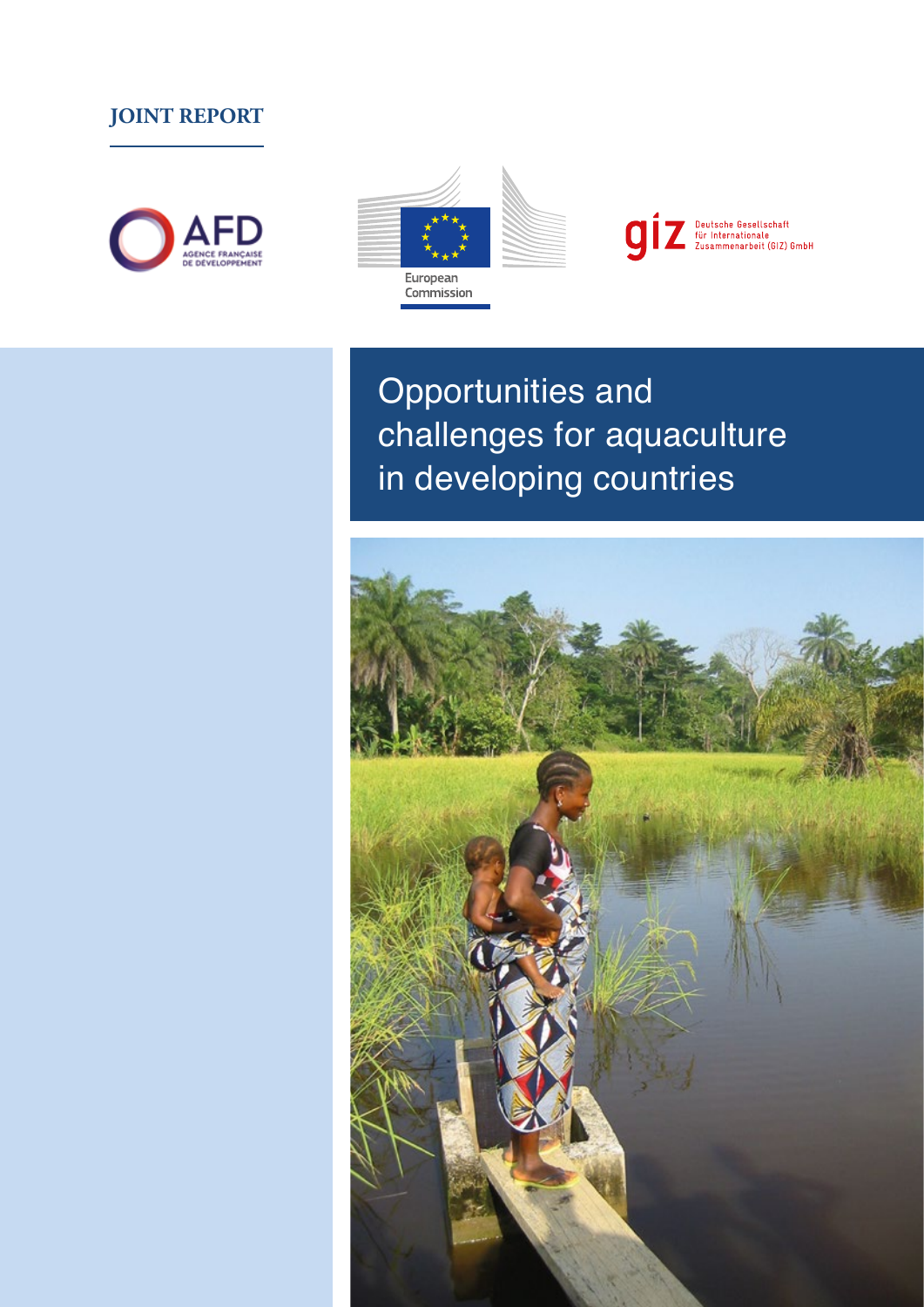# **JOINT REPORT**







Opportunities and challenges for aquaculture in developing countries

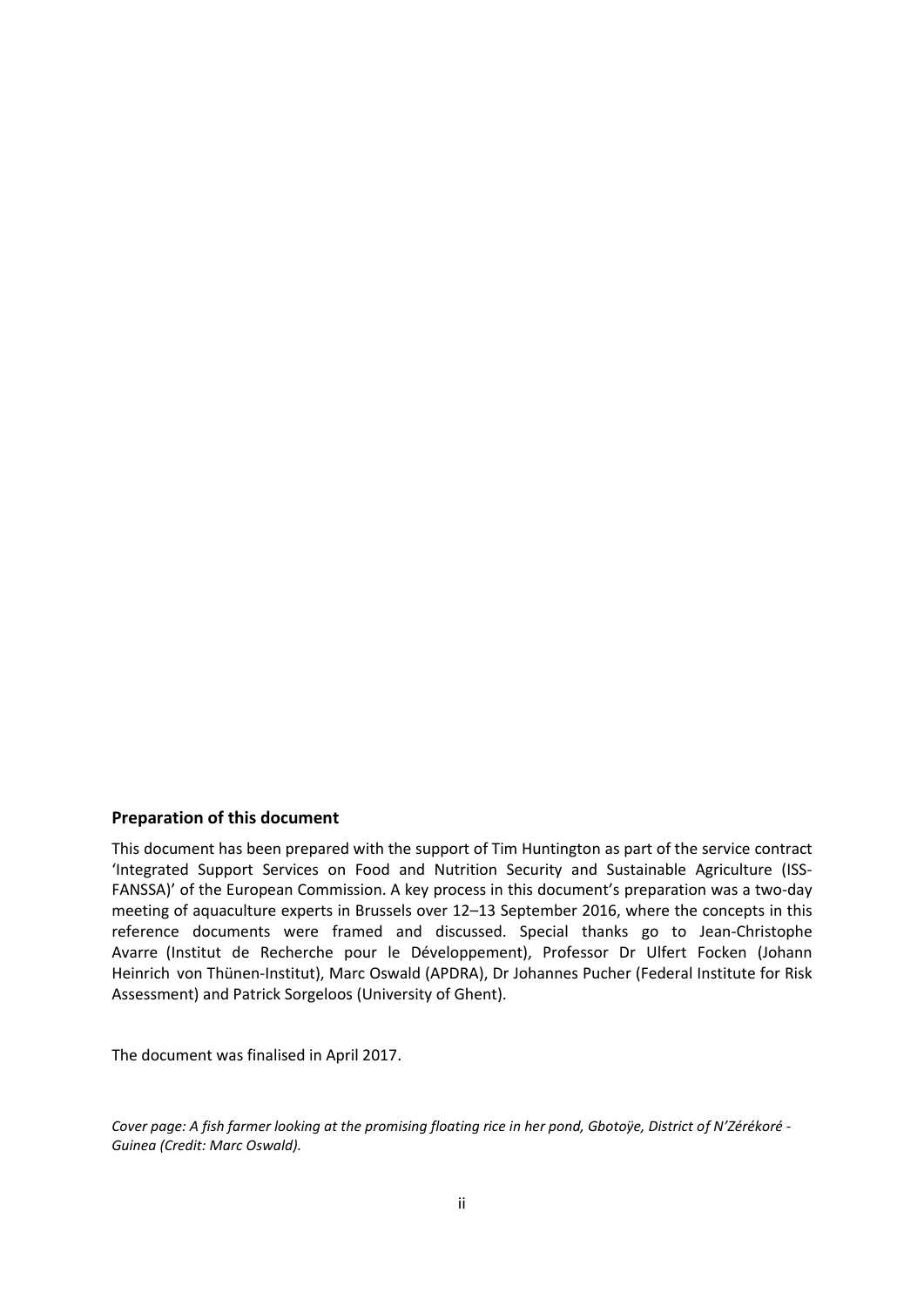#### **Preparation of this document**

This document has been prepared with the support of Tim Huntington as part of the service contract 'Integrated Support Services on Food and Nutrition Security and Sustainable Agriculture (ISS-FANSSA)' of the European Commission. A key process in this document's preparation was a two-day meeting of aquaculture experts in Brussels over 12–13 September 2016, where the concepts in this reference documents were framed and discussed. Special thanks go to Jean-Christophe Avarre (Institut de Recherche pour le Développement), Professor Dr Ulfert Focken (Johann Heinrich von Thünen-Institut), Marc Oswald (APDRA), Dr Johannes Pucher (Federal Institute for Risk Assessment) and Patrick Sorgeloos (University of Ghent).

The document was finalised in April 2017.

*Cover page: A fish farmer looking at the promising floating rice in her pond, Gbotoÿe, District of N'Zérékoré - Guinea (Credit: Marc Oswald).*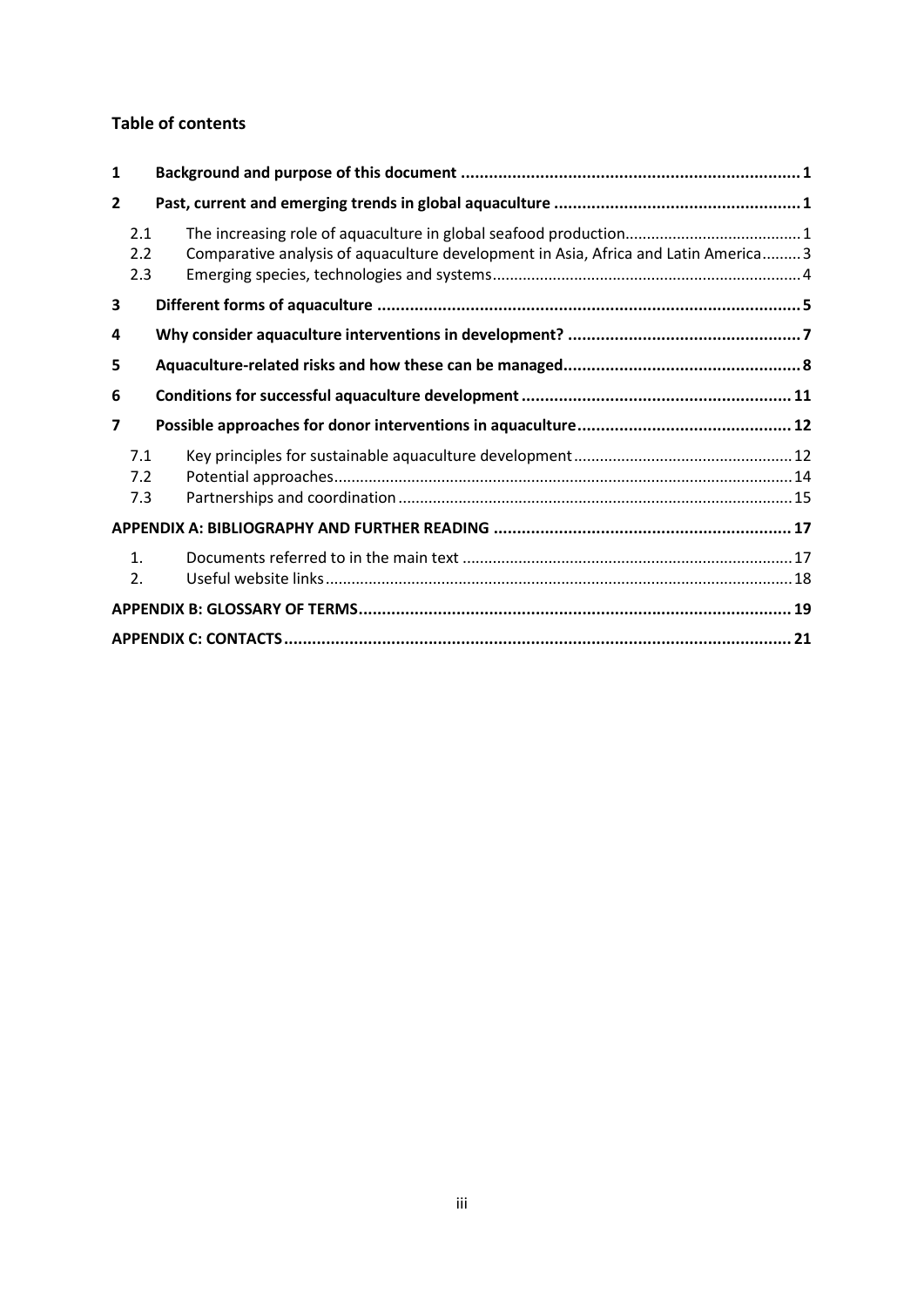### **Table of contents**

| 1              |                      |                                                                                     |  |
|----------------|----------------------|-------------------------------------------------------------------------------------|--|
| $\overline{2}$ |                      |                                                                                     |  |
|                | 2.1<br>2.2<br>2.3    | Comparative analysis of aquaculture development in Asia, Africa and Latin America 3 |  |
| 3              |                      |                                                                                     |  |
| 4              |                      |                                                                                     |  |
| 5              |                      |                                                                                     |  |
| 6              |                      |                                                                                     |  |
| 7              |                      |                                                                                     |  |
|                | 7.1<br>7.2           |                                                                                     |  |
|                | 7.3                  |                                                                                     |  |
|                |                      |                                                                                     |  |
|                | $\mathbf{1}$ .<br>2. |                                                                                     |  |
|                |                      |                                                                                     |  |
|                |                      |                                                                                     |  |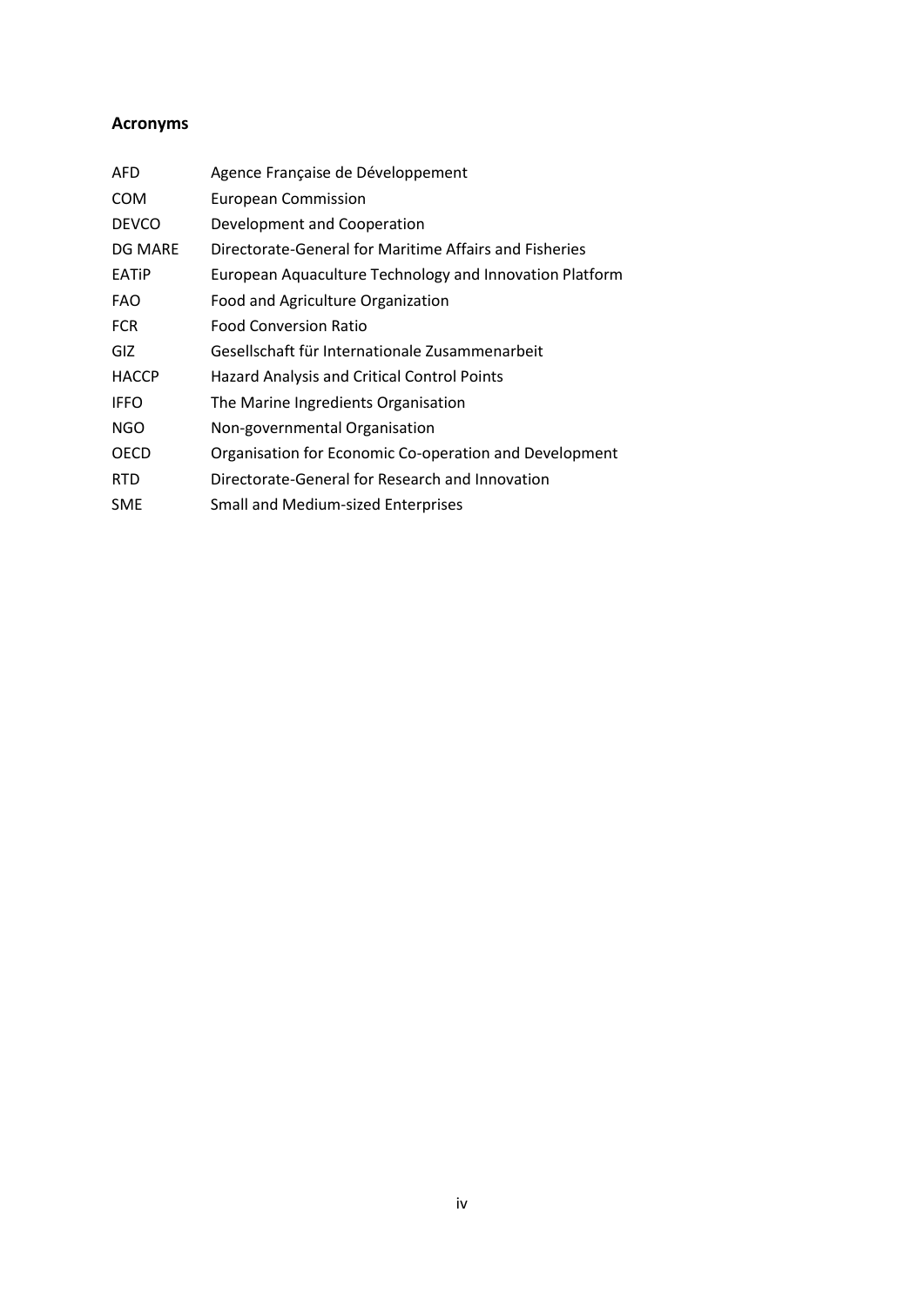## **Acronyms**

| AFD          | Agence Française de Développement                       |
|--------------|---------------------------------------------------------|
| COM          | <b>European Commission</b>                              |
| <b>DEVCO</b> | Development and Cooperation                             |
| DG MARE      | Directorate-General for Maritime Affairs and Fisheries  |
| <b>EATIP</b> | European Aquaculture Technology and Innovation Platform |
| FAO          | Food and Agriculture Organization                       |
| <b>FCR</b>   | <b>Food Conversion Ratio</b>                            |
| GIZ          | Gesellschaft für Internationale Zusammenarbeit          |
| <b>HACCP</b> | <b>Hazard Analysis and Critical Control Points</b>      |
| <b>IFFO</b>  | The Marine Ingredients Organisation                     |
| <b>NGO</b>   | Non-governmental Organisation                           |
| OECD         | Organisation for Economic Co-operation and Development  |
| <b>RTD</b>   | Directorate-General for Research and Innovation         |
| SME          | <b>Small and Medium-sized Enterprises</b>               |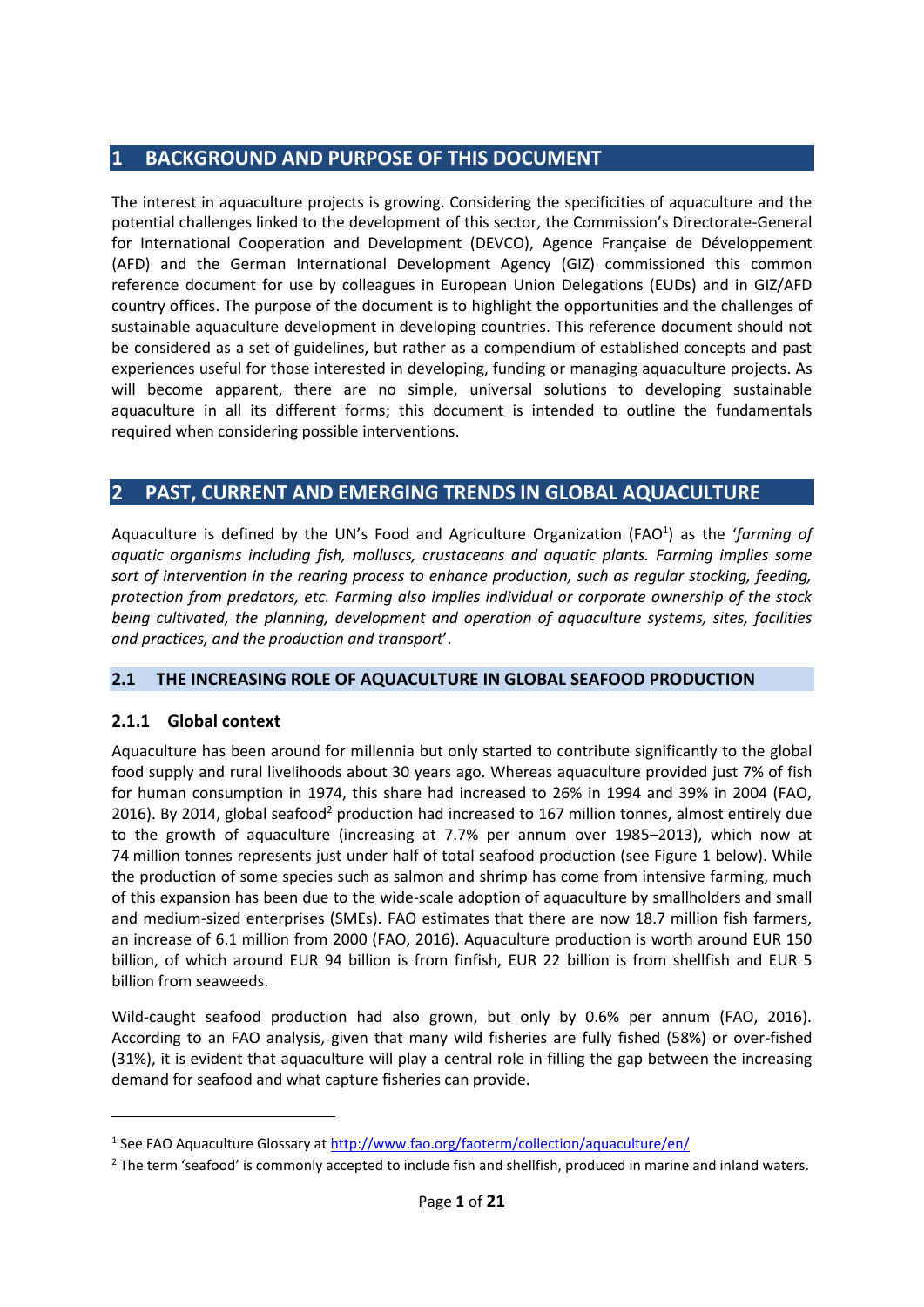## **1 BACKGROUND AND PURPOSE OF THIS DOCUMENT**

The interest in aquaculture projects is growing. Considering the specificities of aquaculture and the potential challenges linked to the development of this sector, the Commission's Directorate-General for International Cooperation and Development (DEVCO), Agence Française de Développement (AFD) and the German International Development Agency (GIZ) commissioned this common reference document for use by colleagues in European Union Delegations (EUDs) and in GIZ/AFD country offices. The purpose of the document is to highlight the opportunities and the challenges of sustainable aquaculture development in developing countries. This reference document should not be considered as a set of guidelines, but rather as a compendium of established concepts and past experiences useful for those interested in developing, funding or managing aquaculture projects. As will become apparent, there are no simple, universal solutions to developing sustainable aquaculture in all its different forms; this document is intended to outline the fundamentals required when considering possible interventions.

## **2 PAST, CURRENT AND EMERGING TRENDS IN GLOBAL AQUACULTURE**

Aquaculture is defined by the UN's Food and Agriculture Organization (FAO<sup>1</sup>) as the 'farming of *aquatic organisms including fish, molluscs, crustaceans and aquatic plants. Farming implies some sort of intervention in the rearing process to enhance production, such as regular stocking, feeding, protection from predators, etc. Farming also implies individual or corporate ownership of the stock being cultivated, the planning, development and operation of aquaculture systems, sites, facilities and practices, and the production and transport*'.

#### **2.1 THE INCREASING ROLE OF AQUACULTURE IN GLOBAL SEAFOOD PRODUCTION**

### **2.1.1 Global context**

Aquaculture has been around for millennia but only started to contribute significantly to the global food supply and rural livelihoods about 30 years ago. Whereas aquaculture provided just 7% of fish for human consumption in 1974, this share had increased to 26% in 1994 and 39% in 2004 (FAO, 2016). By 2014, global seafood<sup>2</sup> production had increased to 167 million tonnes, almost entirely due to the growth of aquaculture (increasing at 7.7% per annum over 1985–2013), which now at 74 million tonnes represents just under half of total seafood production (see Figure 1 below). While the production of some species such as salmon and shrimp has come from intensive farming, much of this expansion has been due to the wide-scale adoption of aquaculture by smallholders and small and medium-sized enterprises (SMEs). FAO estimates that there are now 18.7 million fish farmers, an increase of 6.1 million from 2000 (FAO, 2016). Aquaculture production is worth around EUR 150 billion, of which around EUR 94 billion is from finfish, EUR 22 billion is from shellfish and EUR 5 billion from seaweeds.

Wild-caught seafood production had also grown, but only by 0.6% per annum (FAO, 2016). According to an FAO analysis, given that many wild fisheries are fully fished (58%) or over-fished (31%), it is evident that aquaculture will play a central role in filling the gap between the increasing demand for seafood and what capture fisheries can provide.

<sup>&</sup>lt;sup>1</sup> See FAO Aquaculture Glossary at http://www.fao.org/faoterm/collection/aquaculture/en/

<sup>&</sup>lt;sup>2</sup> The term 'seafood' is commonly accepted to include fish and shellfish, produced in marine and inland waters.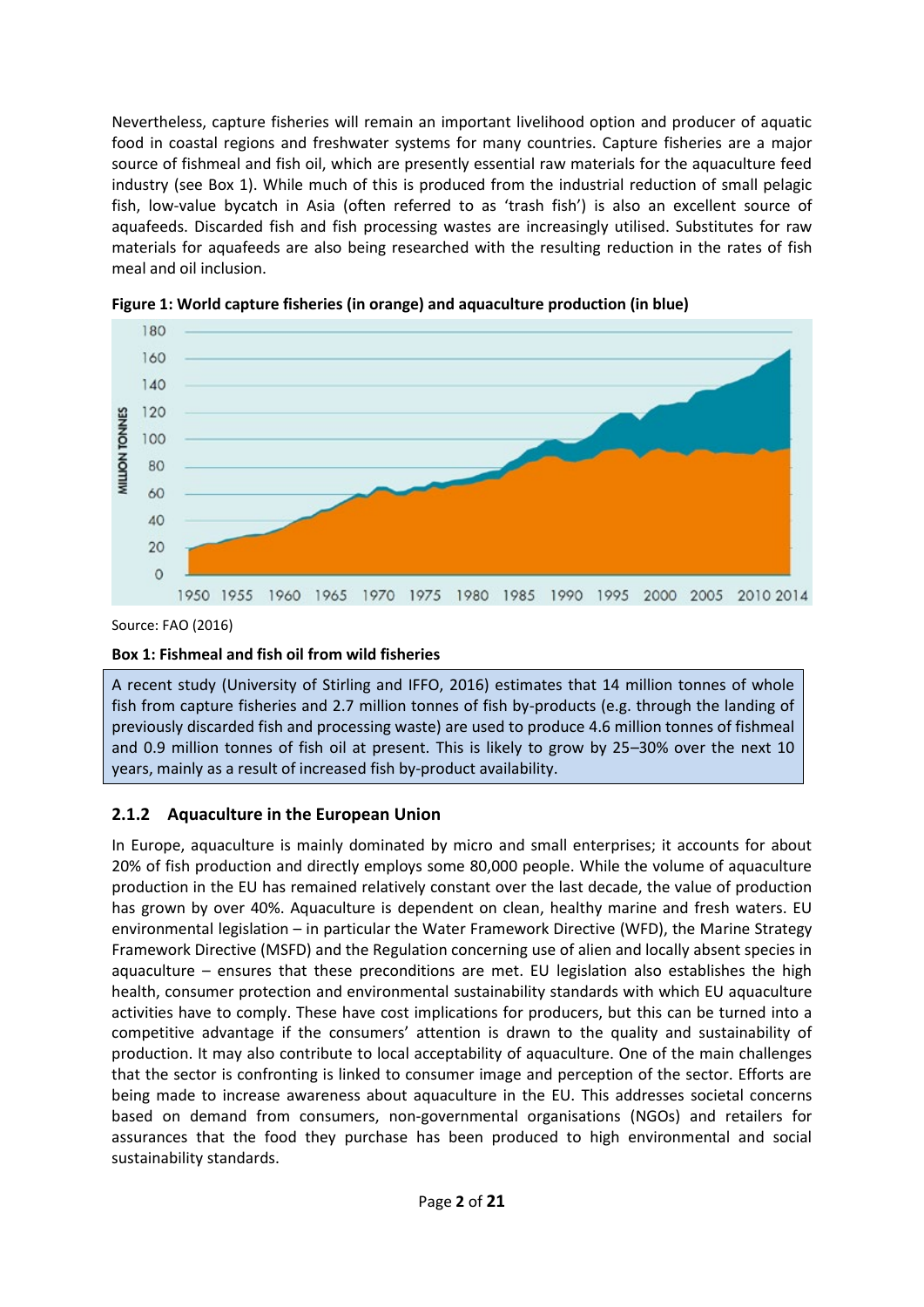Nevertheless, capture fisheries will remain an important livelihood option and producer of aquatic food in coastal regions and freshwater systems for many countries. Capture fisheries are a major source of fishmeal and fish oil, which are presently essential raw materials for the aquaculture feed industry (see Box 1). While much of this is produced from the industrial reduction of small pelagic fish, low-value bycatch in Asia (often referred to as 'trash fish') is also an excellent source of aquafeeds. Discarded fish and fish processing wastes are increasingly utilised. Substitutes for raw materials for aquafeeds are also being researched with the resulting reduction in the rates of fish meal and oil inclusion.



**Figure 1: World capture fisheries (in orange) and aquaculture production (in blue)**

Source: FAO (2016)

### **Box 1: Fishmeal and fish oil from wild fisheries**

A recent study (University of Stirling and IFFO, 2016) estimates that 14 million tonnes of whole fish from capture fisheries and 2.7 million tonnes of fish by-products (e.g. through the landing of previously discarded fish and processing waste) are used to produce 4.6 million tonnes of fishmeal and 0.9 million tonnes of fish oil at present. This is likely to grow by 25–30% over the next 10 years, mainly as a result of increased fish by-product availability.

## **2.1.2 Aquaculture in the European Union**

In Europe, aquaculture is mainly dominated by micro and small enterprises; it accounts for about 20% of fish production and directly employs some 80,000 people. While the volume of aquaculture production in the EU has remained relatively constant over the last decade, the value of production has grown by over 40%. Aquaculture is dependent on clean, healthy marine and fresh waters. EU environmental legislation – in particular the Water Framework Directive (WFD), the Marine Strategy Framework Directive (MSFD) and the Regulation concerning use of alien and locally absent species in aquaculture – ensures that these preconditions are met. EU legislation also establishes the high health, consumer protection and environmental sustainability standards with which EU aquaculture activities have to comply. These have cost implications for producers, but this can be turned into a competitive advantage if the consumers' attention is drawn to the quality and sustainability of production. It may also contribute to local acceptability of aquaculture. One of the main challenges that the sector is confronting is linked to consumer image and perception of the sector. Efforts are being made to increase awareness about aquaculture in the EU. This addresses societal concerns based on demand from consumers, non-governmental organisations (NGOs) and retailers for assurances that the food they purchase has been produced to high environmental and social sustainability standards.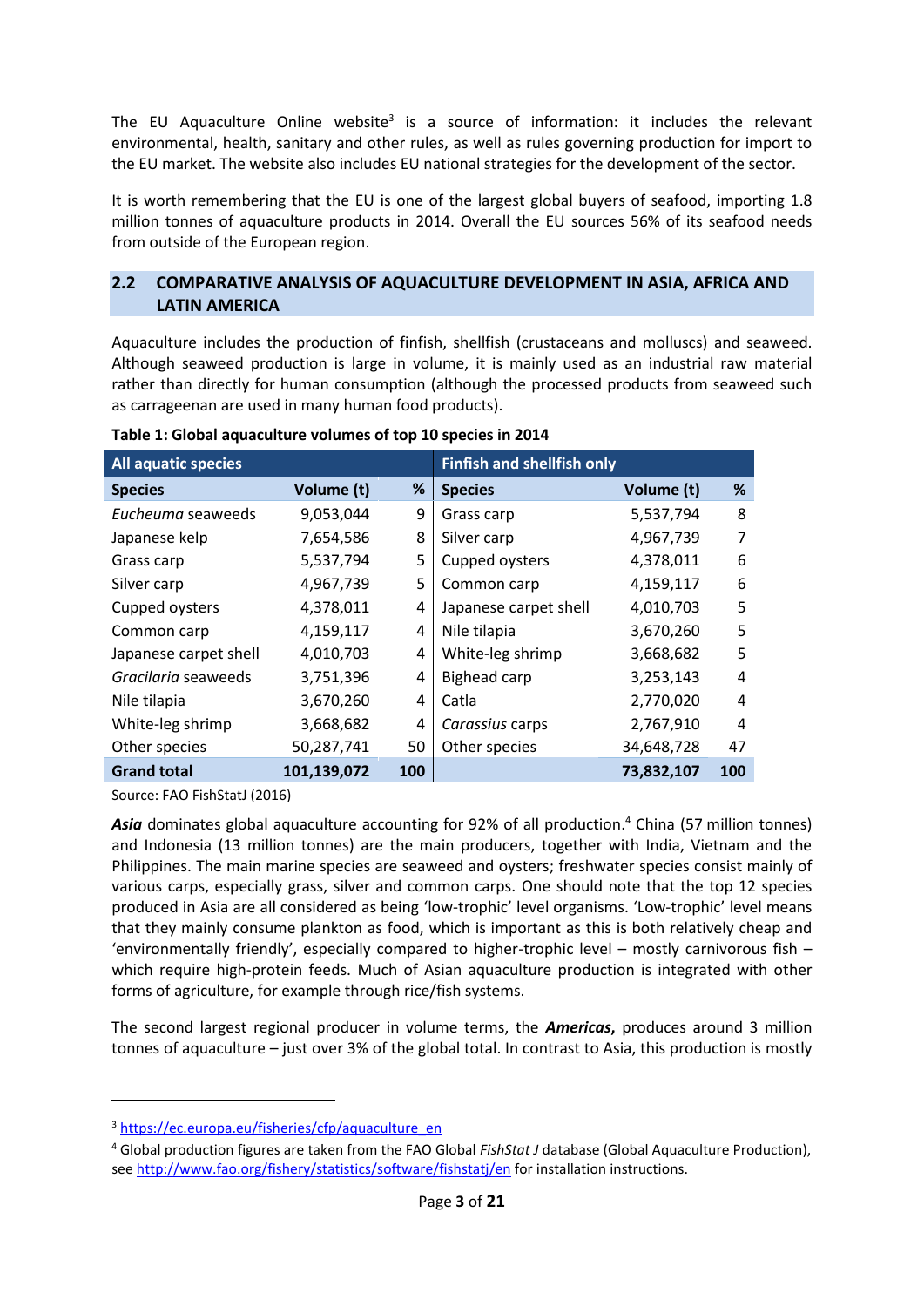The EU Aquaculture Online website<sup>3</sup> is a source of information: it includes the relevant environmental, health, sanitary and other rules, as well as rules governing production for import to the EU market. The website also includes EU national strategies for the development of the sector.

It is worth remembering that the EU is one of the largest global buyers of seafood, importing 1.8 million tonnes of aquaculture products in 2014. Overall the EU sources 56% of its seafood needs from outside of the European region.

### **2.2 COMPARATIVE ANALYSIS OF AQUACULTURE DEVELOPMENT IN ASIA, AFRICA AND LATIN AMERICA**

Aquaculture includes the production of finfish, shellfish (crustaceans and molluscs) and seaweed. Although seaweed production is large in volume, it is mainly used as an industrial raw material rather than directly for human consumption (although the processed products from seaweed such as carrageenan are used in many human food products).

| <b>All aquatic species</b> |             |     | <b>Finfish and shellfish only</b> |            |     |
|----------------------------|-------------|-----|-----------------------------------|------------|-----|
| <b>Species</b>             | Volume (t)  | %   | <b>Species</b>                    | Volume (t) | %   |
| Eucheuma seaweeds          | 9,053,044   | 9   | Grass carp                        | 5,537,794  | 8   |
| Japanese kelp              | 7,654,586   | 8   | Silver carp                       | 4,967,739  | 7   |
| Grass carp                 | 5,537,794   | 5   | Cupped oysters                    | 4,378,011  | 6   |
| Silver carp                | 4,967,739   | 5   | Common carp                       | 4,159,117  | 6   |
| Cupped oysters             | 4,378,011   | 4   | Japanese carpet shell             | 4,010,703  | 5   |
| Common carp                | 4,159,117   | 4   | Nile tilapia                      | 3,670,260  | 5   |
| Japanese carpet shell      | 4,010,703   | 4   | White-leg shrimp                  | 3,668,682  | 5   |
| Gracilaria seaweeds        | 3,751,396   | 4   | <b>Bighead carp</b>               | 3,253,143  | 4   |
| Nile tilapia               | 3,670,260   | 4   | Catla                             | 2,770,020  | 4   |
| White-leg shrimp           | 3,668,682   | 4   | Carassius carps                   | 2,767,910  | 4   |
| Other species              | 50,287,741  | 50  | Other species                     | 34,648,728 | 47  |
| <b>Grand total</b>         | 101,139,072 | 100 |                                   | 73,832,107 | 100 |

**Table 1: Global aquaculture volumes of top 10 species in 2014**

Source: FAO FishStatJ (2016)

*Asia* dominates global aquaculture accounting for 92% of all production. <sup>4</sup> China (57 million tonnes) and Indonesia (13 million tonnes) are the main producers, together with India, Vietnam and the Philippines. The main marine species are seaweed and oysters; freshwater species consist mainly of various carps, especially grass, silver and common carps. One should note that the top 12 species produced in Asia are all considered as being 'low-trophic' level organisms. 'Low-trophic' level means that they mainly consume plankton as food, which is important as this is both relatively cheap and 'environmentally friendly', especially compared to higher-trophic level – mostly carnivorous fish – which require high-protein feeds. Much of Asian aquaculture production is integrated with other forms of agriculture, for example through rice/fish systems.

The second largest regional producer in volume terms, the *Americas***,** produces around 3 million tonnes of aquaculture – just over 3% of the global total. In contrast to Asia, this production is mostly

<sup>&</sup>lt;sup>3</sup> https://ec.europa.eu/fisheries/cfp/aquaculture\_en

<sup>4</sup> Global production figures are taken from the FAO Global *FishStat J* database (Global Aquaculture Production), see http://www.fao.org/fishery/statistics/software/fishstatj/en for installation instructions.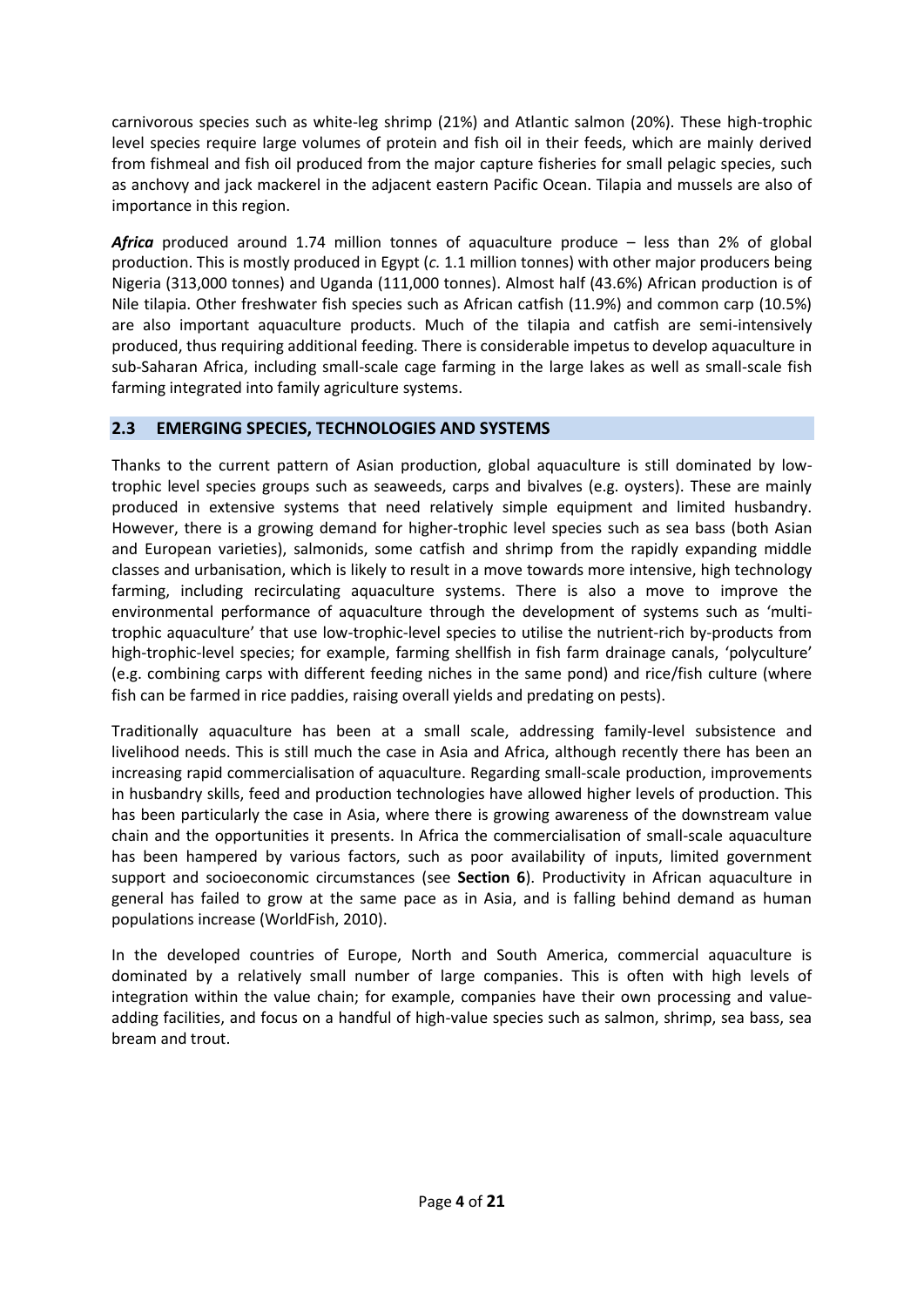carnivorous species such as white-leg shrimp (21%) and Atlantic salmon (20%). These high-trophic level species require large volumes of protein and fish oil in their feeds, which are mainly derived from fishmeal and fish oil produced from the major capture fisheries for small pelagic species, such as anchovy and jack mackerel in the adjacent eastern Pacific Ocean. Tilapia and mussels are also of importance in this region.

*Africa* produced around 1.74 million tonnes of aquaculture produce – less than 2% of global production. This is mostly produced in Egypt (*c.* 1.1 million tonnes) with other major producers being Nigeria (313,000 tonnes) and Uganda (111,000 tonnes). Almost half (43.6%) African production is of Nile tilapia. Other freshwater fish species such as African catfish (11.9%) and common carp (10.5%) are also important aquaculture products. Much of the tilapia and catfish are semi-intensively produced, thus requiring additional feeding. There is considerable impetus to develop aquaculture in sub-Saharan Africa, including small-scale cage farming in the large lakes as well as small-scale fish farming integrated into family agriculture systems.

#### **2.3 EMERGING SPECIES, TECHNOLOGIES AND SYSTEMS**

Thanks to the current pattern of Asian production, global aquaculture is still dominated by lowtrophic level species groups such as seaweeds, carps and bivalves (e.g. oysters). These are mainly produced in extensive systems that need relatively simple equipment and limited husbandry. However, there is a growing demand for higher-trophic level species such as sea bass (both Asian and European varieties), salmonids, some catfish and shrimp from the rapidly expanding middle classes and urbanisation, which is likely to result in a move towards more intensive, high technology farming, including recirculating aquaculture systems. There is also a move to improve the environmental performance of aquaculture through the development of systems such as 'multitrophic aquaculture' that use low-trophic-level species to utilise the nutrient-rich by-products from high-trophic-level species; for example, farming shellfish in fish farm drainage canals, 'polyculture' (e.g. combining carps with different feeding niches in the same pond) and rice/fish culture (where fish can be farmed in rice paddies, raising overall yields and predating on pests).

Traditionally aquaculture has been at a small scale, addressing family-level subsistence and livelihood needs. This is still much the case in Asia and Africa, although recently there has been an increasing rapid commercialisation of aquaculture. Regarding small-scale production, improvements in husbandry skills, feed and production technologies have allowed higher levels of production. This has been particularly the case in Asia, where there is growing awareness of the downstream value chain and the opportunities it presents. In Africa the commercialisation of small-scale aquaculture has been hampered by various factors, such as poor availability of inputs, limited government support and socioeconomic circumstances (see **Section 6**). Productivity in African aquaculture in general has failed to grow at the same pace as in Asia, and is falling behind demand as human populations increase (WorldFish, 2010).

In the developed countries of Europe, North and South America, commercial aquaculture is dominated by a relatively small number of large companies. This is often with high levels of integration within the value chain; for example, companies have their own processing and valueadding facilities, and focus on a handful of high-value species such as salmon, shrimp, sea bass, sea bream and trout.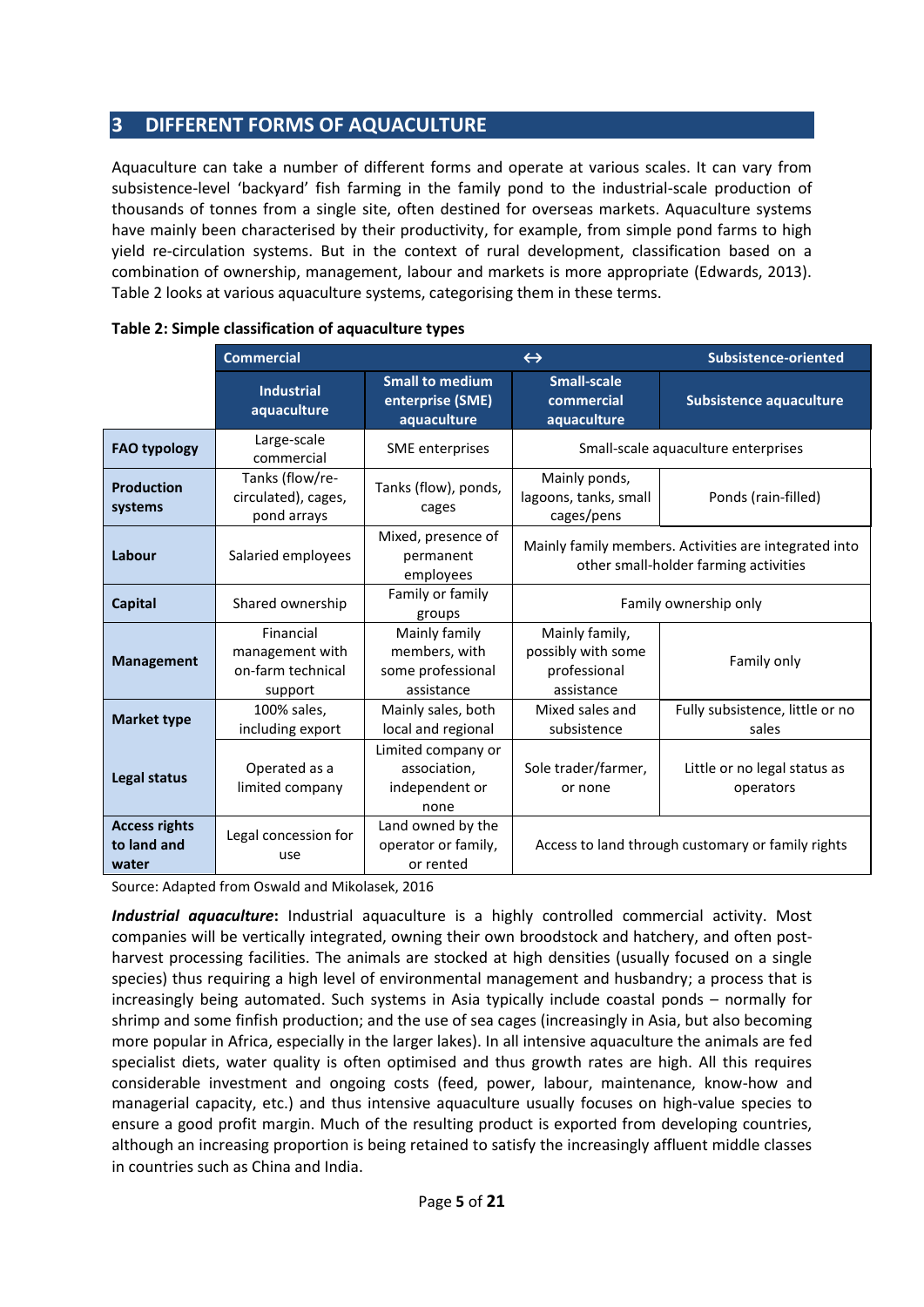## **3 DIFFERENT FORMS OF AQUACULTURE**

Aquaculture can take a number of different forms and operate at various scales. It can vary from subsistence-level 'backyard' fish farming in the family pond to the industrial-scale production of thousands of tonnes from a single site, often destined for overseas markets. Aquaculture systems have mainly been characterised by their productivity, for example, from simple pond farms to high yield re-circulation systems. But in the context of rural development, classification based on a combination of ownership, management, labour and markets is more appropriate (Edwards, 2013). Table 2 looks at various aquaculture systems, categorising them in these terms.

|                                                                                                | <b>Commercial</b>                                            | $\leftrightarrow$                                                 |                                                                                                | Subsistence-oriented                              |
|------------------------------------------------------------------------------------------------|--------------------------------------------------------------|-------------------------------------------------------------------|------------------------------------------------------------------------------------------------|---------------------------------------------------|
|                                                                                                | <b>Industrial</b><br>aquaculture                             | <b>Small to medium</b><br>enterprise (SME)<br>aquaculture         | <b>Small-scale</b><br>commercial<br>aquaculture                                                | <b>Subsistence aquaculture</b>                    |
| <b>FAO typology</b>                                                                            | Large-scale<br>commercial                                    | SME enterprises                                                   | Small-scale aquaculture enterprises                                                            |                                                   |
| Tanks (flow/re-<br><b>Production</b><br>circulated), cages,<br>systems<br>cages<br>pond arrays |                                                              | Tanks (flow), ponds,                                              | Mainly ponds,<br>lagoons, tanks, small<br>cages/pens                                           | Ponds (rain-filled)                               |
| Labour                                                                                         | Salaried employees                                           | Mixed, presence of<br>permanent<br>employees                      | Mainly family members. Activities are integrated into<br>other small-holder farming activities |                                                   |
| <b>Capital</b>                                                                                 | Shared ownership                                             | Family or family<br>groups                                        | Family ownership only                                                                          |                                                   |
| <b>Management</b>                                                                              | Financial<br>management with<br>on-farm technical<br>support | Mainly family<br>members, with<br>some professional<br>assistance | Mainly family,<br>possibly with some<br>professional<br>assistance                             | Family only                                       |
| <b>Market type</b>                                                                             | 100% sales,<br>including export                              | Mainly sales, both<br>local and regional                          | Mixed sales and<br>subsistence                                                                 | Fully subsistence, little or no<br>sales          |
| Legal status                                                                                   | Operated as a<br>limited company                             | Limited company or<br>association.<br>independent or<br>none      | Sole trader/farmer,<br>or none                                                                 | Little or no legal status as<br>operators         |
| <b>Access rights</b><br>to land and<br>water                                                   | Legal concession for<br>use                                  | Land owned by the<br>operator or family,<br>or rented             |                                                                                                | Access to land through customary or family rights |

|  |  | Table 2: Simple classification of aquaculture types |  |
|--|--|-----------------------------------------------------|--|
|--|--|-----------------------------------------------------|--|

Source: Adapted from Oswald and Mikolasek, 2016

*Industrial aquaculture***:** Industrial aquaculture is a highly controlled commercial activity. Most companies will be vertically integrated, owning their own broodstock and hatchery, and often postharvest processing facilities. The animals are stocked at high densities (usually focused on a single species) thus requiring a high level of environmental management and husbandry; a process that is increasingly being automated. Such systems in Asia typically include coastal ponds – normally for shrimp and some finfish production; and the use of sea cages (increasingly in Asia, but also becoming more popular in Africa, especially in the larger lakes). In all intensive aquaculture the animals are fed specialist diets, water quality is often optimised and thus growth rates are high. All this requires considerable investment and ongoing costs (feed, power, labour, maintenance, know-how and managerial capacity, etc.) and thus intensive aquaculture usually focuses on high-value species to ensure a good profit margin. Much of the resulting product is exported from developing countries, although an increasing proportion is being retained to satisfy the increasingly affluent middle classes in countries such as China and India.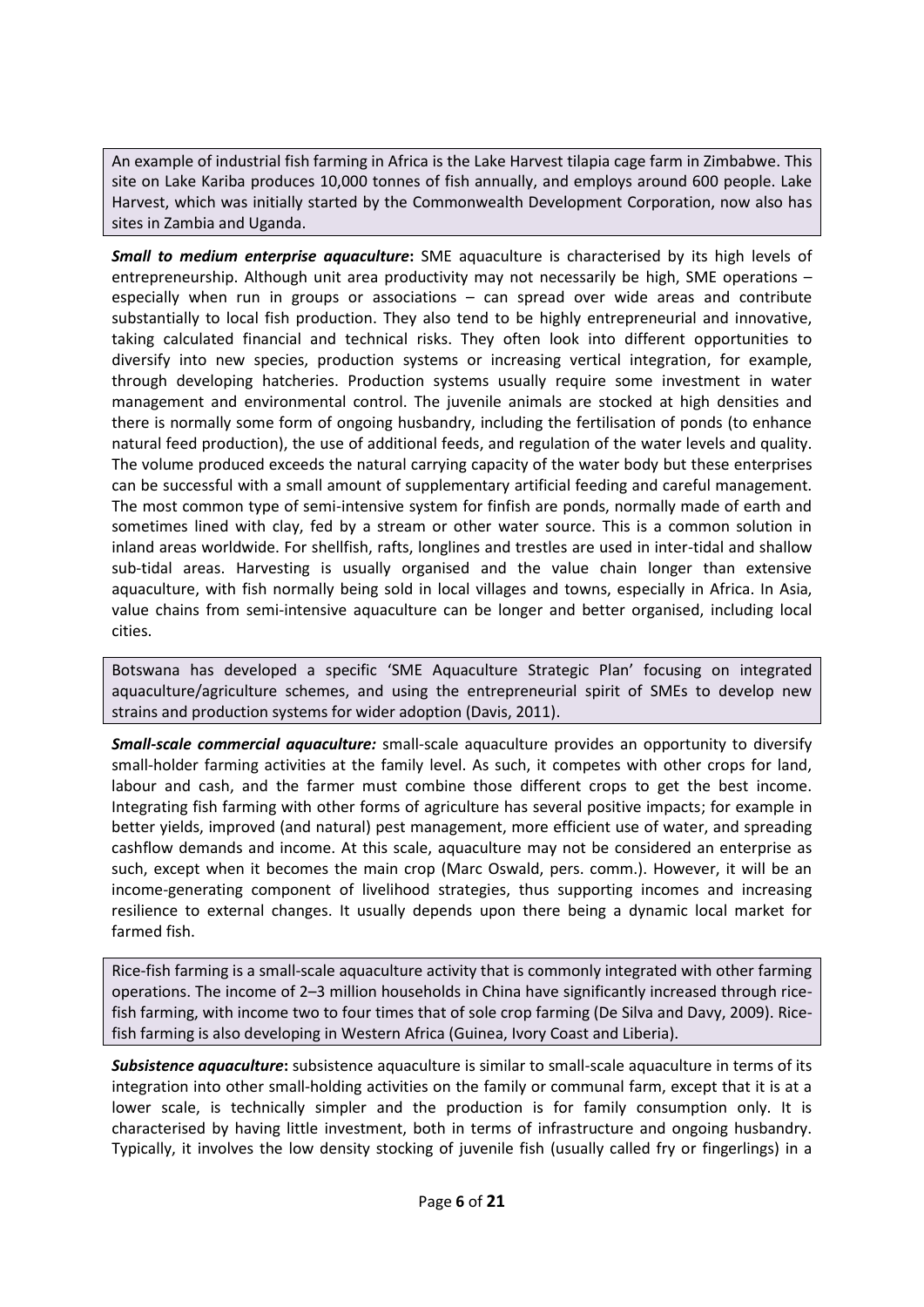An example of industrial fish farming in Africa is the Lake Harvest tilapia cage farm in Zimbabwe. This site on Lake Kariba produces 10,000 tonnes of fish annually, and employs around 600 people. Lake Harvest, which was initially started by the Commonwealth Development Corporation, now also has sites in Zambia and Uganda.

*Small to medium enterprise aquaculture***:** SME aquaculture is characterised by its high levels of entrepreneurship. Although unit area productivity may not necessarily be high, SME operations – especially when run in groups or associations – can spread over wide areas and contribute substantially to local fish production. They also tend to be highly entrepreneurial and innovative, taking calculated financial and technical risks. They often look into different opportunities to diversify into new species, production systems or increasing vertical integration, for example, through developing hatcheries. Production systems usually require some investment in water management and environmental control. The juvenile animals are stocked at high densities and there is normally some form of ongoing husbandry, including the fertilisation of ponds (to enhance natural feed production), the use of additional feeds, and regulation of the water levels and quality. The volume produced exceeds the natural carrying capacity of the water body but these enterprises can be successful with a small amount of supplementary artificial feeding and careful management. The most common type of semi-intensive system for finfish are ponds, normally made of earth and sometimes lined with clay, fed by a stream or other water source. This is a common solution in inland areas worldwide. For shellfish, rafts, longlines and trestles are used in inter-tidal and shallow sub-tidal areas. Harvesting is usually organised and the value chain longer than extensive aquaculture, with fish normally being sold in local villages and towns, especially in Africa. In Asia, value chains from semi-intensive aquaculture can be longer and better organised, including local cities.

Botswana has developed a specific 'SME Aquaculture Strategic Plan' focusing on integrated aquaculture/agriculture schemes, and using the entrepreneurial spirit of SMEs to develop new strains and production systems for wider adoption (Davis, 2011).

*Small-scale commercial aquaculture:* small-scale aquaculture provides an opportunity to diversify small-holder farming activities at the family level. As such, it competes with other crops for land, labour and cash, and the farmer must combine those different crops to get the best income. Integrating fish farming with other forms of agriculture has several positive impacts; for example in better yields, improved (and natural) pest management, more efficient use of water, and spreading cashflow demands and income. At this scale, aquaculture may not be considered an enterprise as such, except when it becomes the main crop (Marc Oswald, pers. comm.). However, it will be an income-generating component of livelihood strategies, thus supporting incomes and increasing resilience to external changes. It usually depends upon there being a dynamic local market for farmed fish.

Rice-fish farming is a small-scale aquaculture activity that is commonly integrated with other farming operations. The income of 2–3 million households in China have significantly increased through ricefish farming, with income two to four times that of sole crop farming (De Silva and Davy, 2009). Ricefish farming is also developing in Western Africa (Guinea, Ivory Coast and Liberia).

*Subsistence aquaculture***:** subsistence aquaculture is similar to small-scale aquaculture in terms of its integration into other small-holding activities on the family or communal farm, except that it is at a lower scale, is technically simpler and the production is for family consumption only. It is characterised by having little investment, both in terms of infrastructure and ongoing husbandry. Typically, it involves the low density stocking of juvenile fish (usually called fry or fingerlings) in a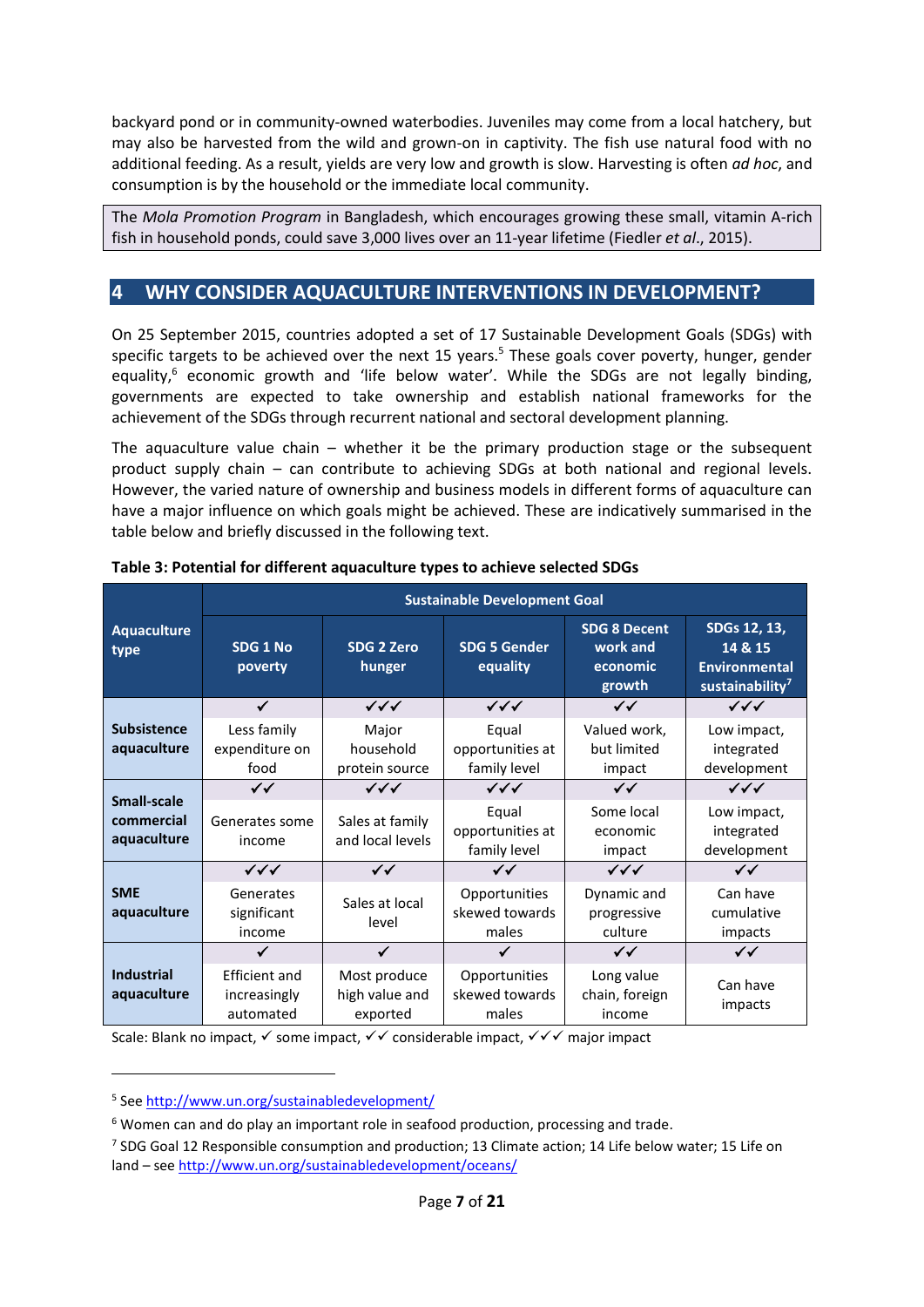backyard pond or in community-owned waterbodies. Juveniles may come from a local hatchery, but may also be harvested from the wild and grown-on in captivity. The fish use natural food with no additional feeding. As a result, yields are very low and growth is slow. Harvesting is often *ad hoc*, and consumption is by the household or the immediate local community.

The *Mola Promotion Program* in Bangladesh, which encourages growing these small, vitamin A-rich fish in household ponds, could save 3,000 lives over an 11-year lifetime (Fiedler *et al*., 2015).

## **4 WHY CONSIDER AQUACULTURE INTERVENTIONS IN DEVELOPMENT?**

On 25 September 2015, countries adopted a set of 17 Sustainable Development Goals (SDGs) with specific targets to be achieved over the next 15 years.<sup>5</sup> These goals cover poverty, hunger, gender equality,<sup>6</sup> economic growth and 'life below water'. While the SDGs are not legally binding, governments are expected to take ownership and establish national frameworks for the achievement of the SDGs through recurrent national and sectoral development planning.

The aquaculture value chain – whether it be the primary production stage or the subsequent product supply chain – can contribute to achieving SDGs at both national and regional levels. However, the varied nature of ownership and business models in different forms of aquaculture can have a major influence on which goals might be achieved. These are indicatively summarised in the table below and briefly discussed in the following text.

|                                                 | <b>Sustainable Development Goal</b>               |                                            |                                           |                                                       |                                                                         |  |
|-------------------------------------------------|---------------------------------------------------|--------------------------------------------|-------------------------------------------|-------------------------------------------------------|-------------------------------------------------------------------------|--|
| <b>Aquaculture</b><br>type                      | SDG 1 No<br>poverty                               | <b>SDG 2 Zero</b><br>hunger                | <b>SDG 5 Gender</b><br>equality           | <b>SDG 8 Decent</b><br>work and<br>economic<br>growth | SDGs 12, 13,<br>14 & 15<br>Environmental<br>sustainability <sup>7</sup> |  |
|                                                 | $\checkmark$                                      | $\checkmark\checkmark\checkmark$           | $\checkmark\checkmark$                    | $\checkmark$                                          | $\checkmark\checkmark\checkmark$                                        |  |
| <b>Subsistence</b><br>aquaculture               | Less family<br>expenditure on<br>food             | Major<br>household<br>protein source       | Equal<br>opportunities at<br>family level | Valued work,<br>but limited<br>impact                 | Low impact,<br>integrated<br>development                                |  |
|                                                 | $\checkmark$                                      | $\checkmark\checkmark\checkmark$           | $\checkmark\checkmark$                    | $\checkmark$                                          | $\checkmark\checkmark\checkmark$                                        |  |
| <b>Small-scale</b><br>commercial<br>aquaculture | Generates some<br>income                          | Sales at family<br>and local levels        | Equal<br>opportunities at<br>family level | Some local<br>economic<br>impact                      | Low impact,<br>integrated<br>development                                |  |
|                                                 | $\checkmark\checkmark$                            | $\checkmark$                               | $\checkmark$                              | $\checkmark\checkmark$                                | $\checkmark$                                                            |  |
| <b>SME</b><br>aquaculture                       | Generates<br>significant<br>income                | Sales at local<br>level                    | Opportunities<br>skewed towards<br>males  | Dynamic and<br>progressive<br>culture                 | Can have<br>cumulative<br>impacts                                       |  |
|                                                 | $\checkmark$                                      | ✓                                          | ✓                                         | $\checkmark$                                          | $\checkmark$                                                            |  |
| <b>Industrial</b><br>aquaculture                | <b>Efficient and</b><br>increasingly<br>automated | Most produce<br>high value and<br>exported | Opportunities<br>skewed towards<br>males  | Long value<br>chain, foreign<br>income                | Can have<br>impacts                                                     |  |

**Table 3: Potential for different aquaculture types to achieve selected SDGs**

Scale: Blank no impact,  $\checkmark$  some impact,  $\checkmark\checkmark$  considerable impact,  $\checkmark\checkmark\checkmark$  major impact

<sup>5</sup> See http://www.un.org/sustainabledevelopment/

<sup>&</sup>lt;sup>6</sup> Women can and do play an important role in seafood production, processing and trade.

<sup>7</sup> SDG Goal 12 Responsible consumption and production; 13 Climate action; 14 Life below water; 15 Life on land – see http://www.un.org/sustainabledevelopment/oceans/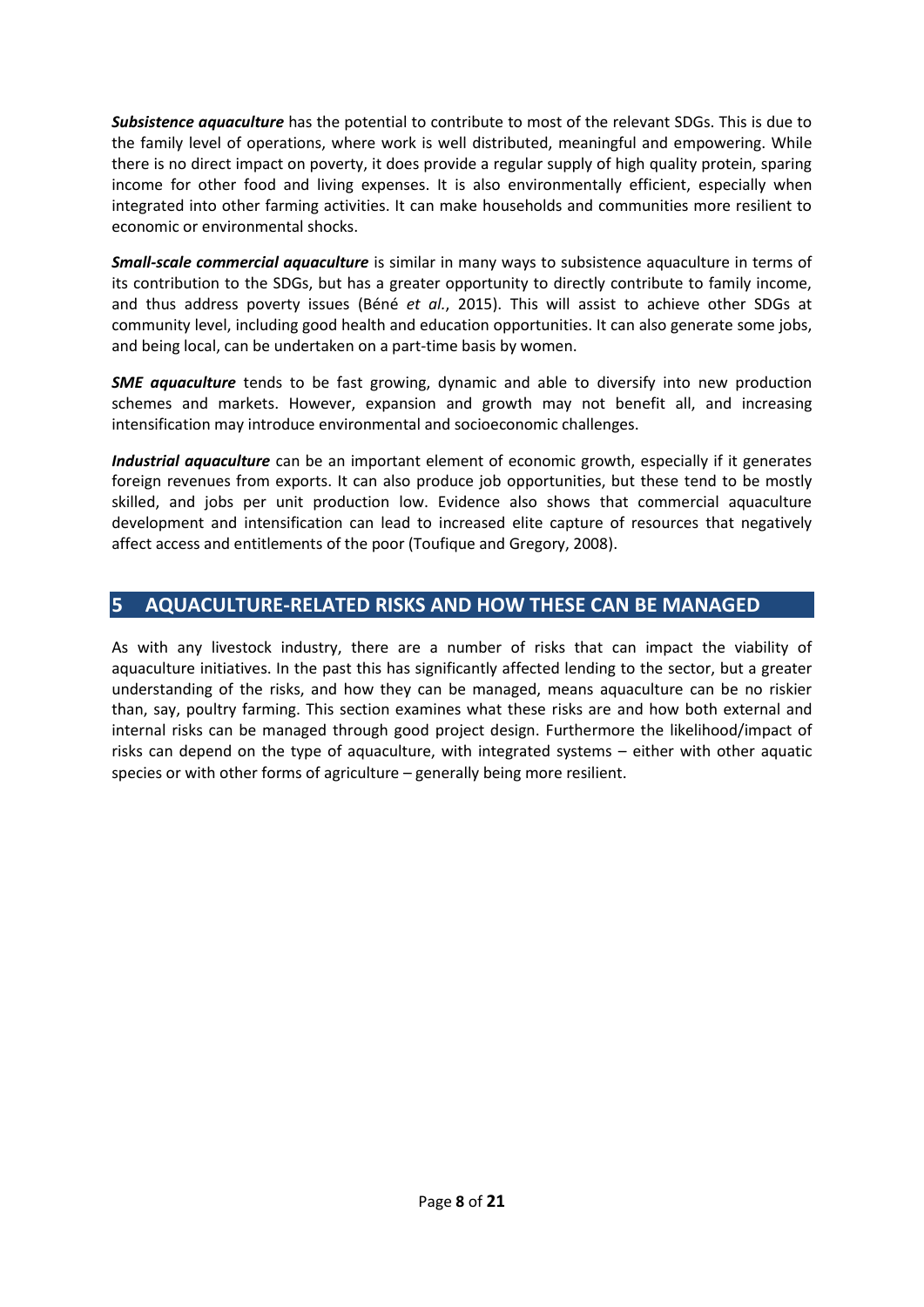*Subsistence aquaculture* has the potential to contribute to most of the relevant SDGs. This is due to the family level of operations, where work is well distributed, meaningful and empowering. While there is no direct impact on poverty, it does provide a regular supply of high quality protein, sparing income for other food and living expenses. It is also environmentally efficient, especially when integrated into other farming activities. It can make households and communities more resilient to economic or environmental shocks.

*Small-scale commercial aquaculture* is similar in many ways to subsistence aquaculture in terms of its contribution to the SDGs, but has a greater opportunity to directly contribute to family income, and thus address poverty issues (Béné *et al.*, 2015). This will assist to achieve other SDGs at community level, including good health and education opportunities. It can also generate some jobs, and being local, can be undertaken on a part-time basis by women.

**SME aquaculture** tends to be fast growing, dynamic and able to diversify into new production schemes and markets. However, expansion and growth may not benefit all, and increasing intensification may introduce environmental and socioeconomic challenges.

*Industrial aquaculture* can be an important element of economic growth, especially if it generates foreign revenues from exports. It can also produce job opportunities, but these tend to be mostly skilled, and jobs per unit production low. Evidence also shows that commercial aquaculture development and intensification can lead to increased elite capture of resources that negatively affect access and entitlements of the poor (Toufique and Gregory, 2008).

## **5 AQUACULTURE-RELATED RISKS AND HOW THESE CAN BE MANAGED**

As with any livestock industry, there are a number of risks that can impact the viability of aquaculture initiatives. In the past this has significantly affected lending to the sector, but a greater understanding of the risks, and how they can be managed, means aquaculture can be no riskier than, say, poultry farming. This section examines what these risks are and how both external and internal risks can be managed through good project design. Furthermore the likelihood/impact of risks can depend on the type of aquaculture, with integrated systems – either with other aquatic species or with other forms of agriculture – generally being more resilient.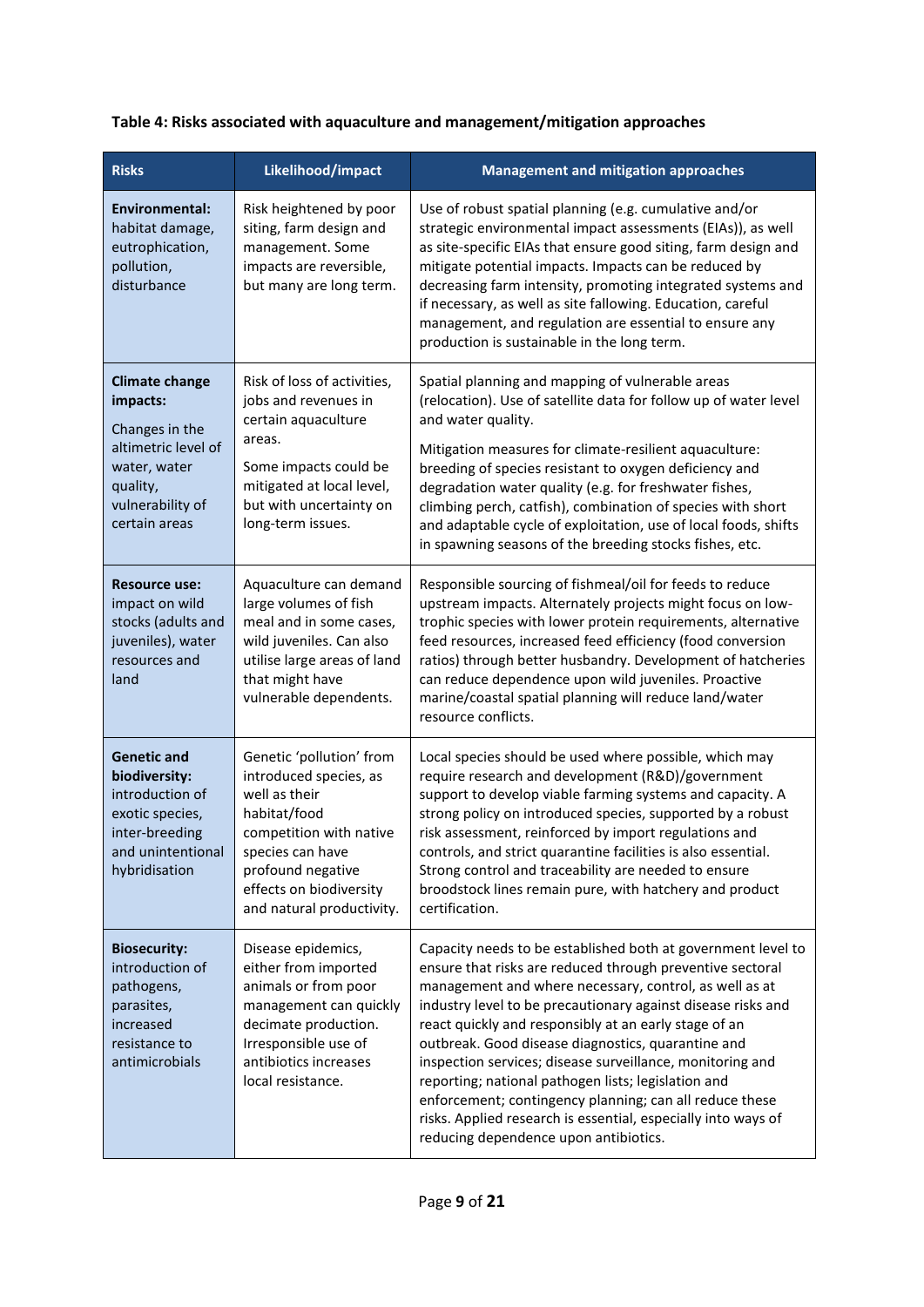## **Table 4: Risks associated with aquaculture and management/mitigation approaches**

| <b>Risks</b>                                                                                                                                | Likelihood/impact                                                                                                                                                                                               | <b>Management and mitigation approaches</b>                                                                                                                                                                                                                                                                                                                                                                                                                                                                                                                                                                                                                 |
|---------------------------------------------------------------------------------------------------------------------------------------------|-----------------------------------------------------------------------------------------------------------------------------------------------------------------------------------------------------------------|-------------------------------------------------------------------------------------------------------------------------------------------------------------------------------------------------------------------------------------------------------------------------------------------------------------------------------------------------------------------------------------------------------------------------------------------------------------------------------------------------------------------------------------------------------------------------------------------------------------------------------------------------------------|
| Environmental:<br>habitat damage,<br>eutrophication,<br>pollution,<br>disturbance                                                           | Risk heightened by poor<br>siting, farm design and<br>management. Some<br>impacts are reversible,<br>but many are long term.                                                                                    | Use of robust spatial planning (e.g. cumulative and/or<br>strategic environmental impact assessments (EIAs)), as well<br>as site-specific EIAs that ensure good siting, farm design and<br>mitigate potential impacts. Impacts can be reduced by<br>decreasing farm intensity, promoting integrated systems and<br>if necessary, as well as site fallowing. Education, careful<br>management, and regulation are essential to ensure any<br>production is sustainable in the long term.                                                                                                                                                                     |
| <b>Climate change</b><br>impacts:<br>Changes in the<br>altimetric level of<br>water, water<br>quality,<br>vulnerability of<br>certain areas | Risk of loss of activities,<br>jobs and revenues in<br>certain aquaculture<br>areas.<br>Some impacts could be<br>mitigated at local level,<br>but with uncertainty on<br>long-term issues.                      | Spatial planning and mapping of vulnerable areas<br>(relocation). Use of satellite data for follow up of water level<br>and water quality.<br>Mitigation measures for climate-resilient aquaculture:<br>breeding of species resistant to oxygen deficiency and<br>degradation water quality (e.g. for freshwater fishes,<br>climbing perch, catfish), combination of species with short<br>and adaptable cycle of exploitation, use of local foods, shifts<br>in spawning seasons of the breeding stocks fishes, etc.                                                                                                                                       |
| <b>Resource use:</b><br>impact on wild<br>stocks (adults and<br>juveniles), water<br>resources and<br>land                                  | Aquaculture can demand<br>large volumes of fish<br>meal and in some cases,<br>wild juveniles. Can also<br>utilise large areas of land<br>that might have<br>vulnerable dependents.                              | Responsible sourcing of fishmeal/oil for feeds to reduce<br>upstream impacts. Alternately projects might focus on low-<br>trophic species with lower protein requirements, alternative<br>feed resources, increased feed efficiency (food conversion<br>ratios) through better husbandry. Development of hatcheries<br>can reduce dependence upon wild juveniles. Proactive<br>marine/coastal spatial planning will reduce land/water<br>resource conflicts.                                                                                                                                                                                                |
| <b>Genetic and</b><br>biodiversity:<br>introduction of<br>exotic species,<br>inter-breeding<br>and unintentional<br>hybridisation           | Genetic 'pollution' from<br>introduced species, as<br>well as their<br>habitat/food<br>competition with native<br>species can have<br>profound negative<br>effects on biodiversity<br>and natural productivity. | Local species should be used where possible, which may<br>require research and development (R&D)/government<br>support to develop viable farming systems and capacity. A<br>strong policy on introduced species, supported by a robust<br>risk assessment, reinforced by import regulations and<br>controls, and strict quarantine facilities is also essential.<br>Strong control and traceability are needed to ensure<br>broodstock lines remain pure, with hatchery and product<br>certification.                                                                                                                                                       |
| <b>Biosecurity:</b><br>introduction of<br>pathogens,<br>parasites,<br>increased<br>resistance to<br>antimicrobials                          | Disease epidemics,<br>either from imported<br>animals or from poor<br>management can quickly<br>decimate production.<br>Irresponsible use of<br>antibiotics increases<br>local resistance.                      | Capacity needs to be established both at government level to<br>ensure that risks are reduced through preventive sectoral<br>management and where necessary, control, as well as at<br>industry level to be precautionary against disease risks and<br>react quickly and responsibly at an early stage of an<br>outbreak. Good disease diagnostics, quarantine and<br>inspection services; disease surveillance, monitoring and<br>reporting; national pathogen lists; legislation and<br>enforcement; contingency planning; can all reduce these<br>risks. Applied research is essential, especially into ways of<br>reducing dependence upon antibiotics. |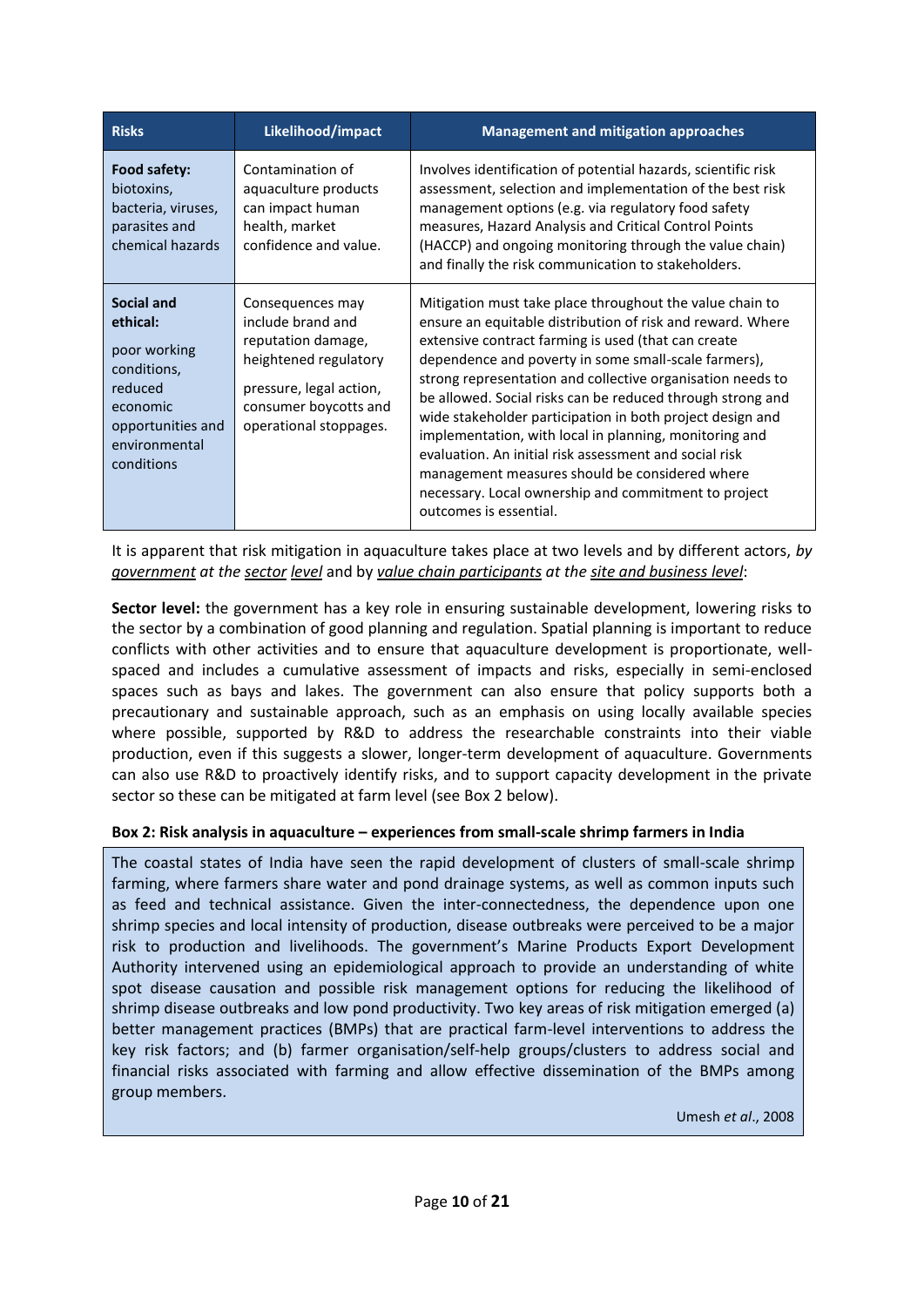| <b>Risks</b>                                                                                                                     | Likelihood/impact                                                                                                                                                  | <b>Management and mitigation approaches</b>                                                                                                                                                                                                                                                                                                                                                                                                                                                                                                                                                                                                                                            |
|----------------------------------------------------------------------------------------------------------------------------------|--------------------------------------------------------------------------------------------------------------------------------------------------------------------|----------------------------------------------------------------------------------------------------------------------------------------------------------------------------------------------------------------------------------------------------------------------------------------------------------------------------------------------------------------------------------------------------------------------------------------------------------------------------------------------------------------------------------------------------------------------------------------------------------------------------------------------------------------------------------------|
| Food safety:<br>biotoxins,<br>bacteria, viruses,<br>parasites and<br>chemical hazards                                            | Contamination of<br>aquaculture products<br>can impact human<br>health, market<br>confidence and value.                                                            | Involves identification of potential hazards, scientific risk<br>assessment, selection and implementation of the best risk<br>management options (e.g. via regulatory food safety<br>measures, Hazard Analysis and Critical Control Points<br>(HACCP) and ongoing monitoring through the value chain)<br>and finally the risk communication to stakeholders.                                                                                                                                                                                                                                                                                                                           |
| Social and<br>ethical:<br>poor working<br>conditions,<br>reduced<br>economic<br>opportunities and<br>environmental<br>conditions | Consequences may<br>include brand and<br>reputation damage,<br>heightened regulatory<br>pressure, legal action,<br>consumer boycotts and<br>operational stoppages. | Mitigation must take place throughout the value chain to<br>ensure an equitable distribution of risk and reward. Where<br>extensive contract farming is used (that can create<br>dependence and poverty in some small-scale farmers),<br>strong representation and collective organisation needs to<br>be allowed. Social risks can be reduced through strong and<br>wide stakeholder participation in both project design and<br>implementation, with local in planning, monitoring and<br>evaluation. An initial risk assessment and social risk<br>management measures should be considered where<br>necessary. Local ownership and commitment to project<br>outcomes is essential. |

It is apparent that risk mitigation in aquaculture takes place at two levels and by different actors, *by government at the sector level* and by *value chain participants at the site and business level*:

**Sector level:** the government has a key role in ensuring sustainable development, lowering risks to the sector by a combination of good planning and regulation. Spatial planning is important to reduce conflicts with other activities and to ensure that aquaculture development is proportionate, wellspaced and includes a cumulative assessment of impacts and risks, especially in semi-enclosed spaces such as bays and lakes. The government can also ensure that policy supports both a precautionary and sustainable approach, such as an emphasis on using locally available species where possible, supported by R&D to address the researchable constraints into their viable production, even if this suggests a slower, longer-term development of aquaculture. Governments can also use R&D to proactively identify risks, and to support capacity development in the private sector so these can be mitigated at farm level (see Box 2 below).

#### **Box 2: Risk analysis in aquaculture – experiences from small-scale shrimp farmers in India**

The coastal states of India have seen the rapid development of clusters of small-scale shrimp farming, where farmers share water and pond drainage systems, as well as common inputs such as feed and technical assistance. Given the inter-connectedness, the dependence upon one shrimp species and local intensity of production, disease outbreaks were perceived to be a major risk to production and livelihoods. The government's Marine Products Export Development Authority intervened using an epidemiological approach to provide an understanding of white spot disease causation and possible risk management options for reducing the likelihood of shrimp disease outbreaks and low pond productivity. Two key areas of risk mitigation emerged (a) better management practices (BMPs) that are practical farm-level interventions to address the key risk factors; and (b) farmer organisation/self-help groups/clusters to address social and financial risks associated with farming and allow effective dissemination of the BMPs among group members.

Umesh *et al*., 2008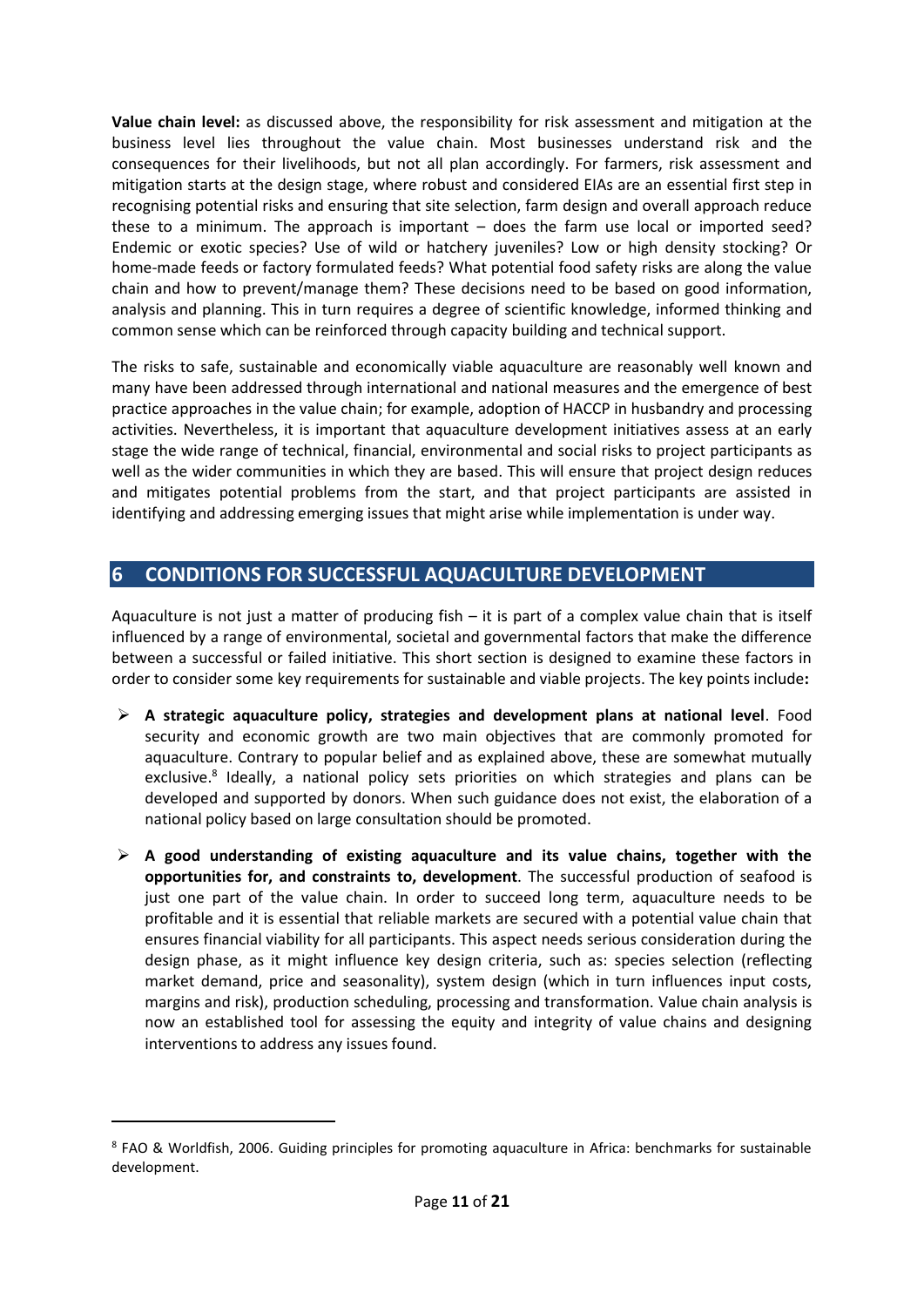**Value chain level:** as discussed above, the responsibility for risk assessment and mitigation at the business level lies throughout the value chain. Most businesses understand risk and the consequences for their livelihoods, but not all plan accordingly. For farmers, risk assessment and mitigation starts at the design stage, where robust and considered EIAs are an essential first step in recognising potential risks and ensuring that site selection, farm design and overall approach reduce these to a minimum. The approach is important – does the farm use local or imported seed? Endemic or exotic species? Use of wild or hatchery juveniles? Low or high density stocking? Or home-made feeds or factory formulated feeds? What potential food safety risks are along the value chain and how to prevent/manage them? These decisions need to be based on good information, analysis and planning. This in turn requires a degree of scientific knowledge, informed thinking and common sense which can be reinforced through capacity building and technical support.

The risks to safe, sustainable and economically viable aquaculture are reasonably well known and many have been addressed through international and national measures and the emergence of best practice approaches in the value chain; for example, adoption of HACCP in husbandry and processing activities. Nevertheless, it is important that aquaculture development initiatives assess at an early stage the wide range of technical, financial, environmental and social risks to project participants as well as the wider communities in which they are based. This will ensure that project design reduces and mitigates potential problems from the start, and that project participants are assisted in identifying and addressing emerging issues that might arise while implementation is under way.

## **6 CONDITIONS FOR SUCCESSFUL AQUACULTURE DEVELOPMENT**

Aquaculture is not just a matter of producing fish – it is part of a complex value chain that is itself influenced by a range of environmental, societal and governmental factors that make the difference between a successful or failed initiative. This short section is designed to examine these factors in order to consider some key requirements for sustainable and viable projects. The key points include**:**

- **A strategic aquaculture policy, strategies and development plans at national level**. Food security and economic growth are two main objectives that are commonly promoted for aquaculture. Contrary to popular belief and as explained above, these are somewhat mutually exclusive.<sup>8</sup> Ideally, a national policy sets priorities on which strategies and plans can be developed and supported by donors. When such guidance does not exist, the elaboration of a national policy based on large consultation should be promoted.
- **A good understanding of existing aquaculture and its value chains, together with the opportunities for, and constraints to, development**. The successful production of seafood is just one part of the value chain. In order to succeed long term, aquaculture needs to be profitable and it is essential that reliable markets are secured with a potential value chain that ensures financial viability for all participants. This aspect needs serious consideration during the design phase, as it might influence key design criteria, such as: species selection (reflecting market demand, price and seasonality), system design (which in turn influences input costs, margins and risk), production scheduling, processing and transformation. Value chain analysis is now an established tool for assessing the equity and integrity of value chains and designing interventions to address any issues found.

<sup>8</sup> FAO & Worldfish, 2006. Guiding principles for promoting aquaculture in Africa: benchmarks for sustainable development.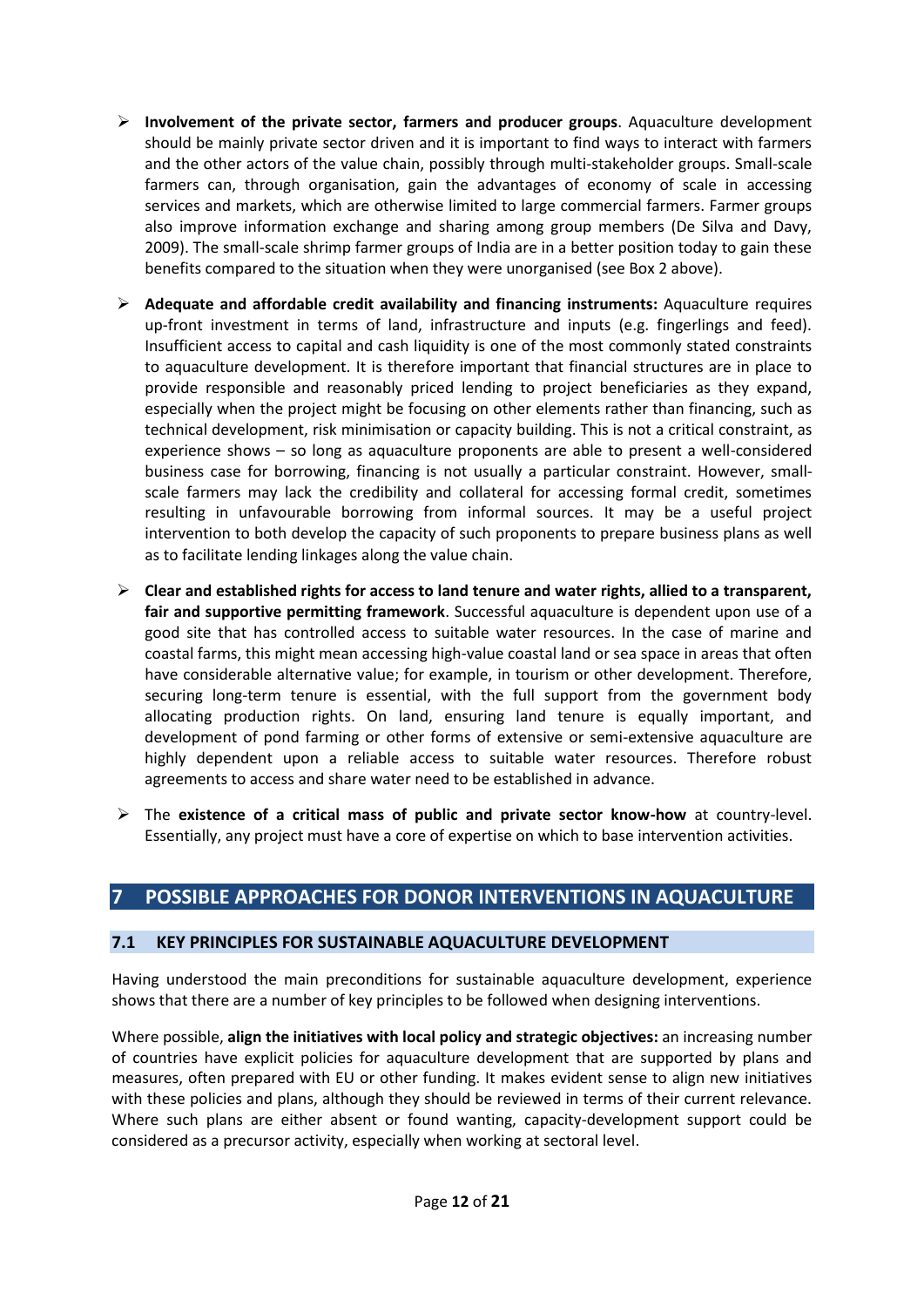- **Involvement of the private sector, farmers and producer groups**. Aquaculture development should be mainly private sector driven and it is important to find ways to interact with farmers and the other actors of the value chain, possibly through multi-stakeholder groups. Small-scale farmers can, through organisation, gain the advantages of economy of scale in accessing services and markets, which are otherwise limited to large commercial farmers. Farmer groups also improve information exchange and sharing among group members (De Silva and Davy, 2009). The small-scale shrimp farmer groups of India are in a better position today to gain these benefits compared to the situation when they were unorganised (see Box 2 above).
- **Adequate and affordable credit availability and financing instruments:** Aquaculture requires up-front investment in terms of land, infrastructure and inputs (e.g. fingerlings and feed). Insufficient access to capital and cash liquidity is one of the most commonly stated constraints to aquaculture development. It is therefore important that financial structures are in place to provide responsible and reasonably priced lending to project beneficiaries as they expand, especially when the project might be focusing on other elements rather than financing, such as technical development, risk minimisation or capacity building. This is not a critical constraint, as experience shows – so long as aquaculture proponents are able to present a well-considered business case for borrowing, financing is not usually a particular constraint. However, smallscale farmers may lack the credibility and collateral for accessing formal credit, sometimes resulting in unfavourable borrowing from informal sources. It may be a useful project intervention to both develop the capacity of such proponents to prepare business plans as well as to facilitate lending linkages along the value chain.
- **Clear and established rights for access to land tenure and water rights, allied to a transparent, fair and supportive permitting framework**. Successful aquaculture is dependent upon use of a good site that has controlled access to suitable water resources. In the case of marine and coastal farms, this might mean accessing high-value coastal land or sea space in areas that often have considerable alternative value; for example, in tourism or other development. Therefore, securing long-term tenure is essential, with the full support from the government body allocating production rights. On land, ensuring land tenure is equally important, and development of pond farming or other forms of extensive or semi-extensive aquaculture are highly dependent upon a reliable access to suitable water resources. Therefore robust agreements to access and share water need to be established in advance.
- The **existence of a critical mass of public and private sector know-how** at country-level. Essentially, any project must have a core of expertise on which to base intervention activities.

## **7 POSSIBLE APPROACHES FOR DONOR INTERVENTIONS IN AQUACULTURE**

#### **7.1 KEY PRINCIPLES FOR SUSTAINABLE AQUACULTURE DEVELOPMENT**

Having understood the main preconditions for sustainable aquaculture development, experience shows that there are a number of key principles to be followed when designing interventions.

Where possible, **align the initiatives with local policy and strategic objectives:** an increasing number of countries have explicit policies for aquaculture development that are supported by plans and measures, often prepared with EU or other funding. It makes evident sense to align new initiatives with these policies and plans, although they should be reviewed in terms of their current relevance. Where such plans are either absent or found wanting, capacity-development support could be considered as a precursor activity, especially when working at sectoral level.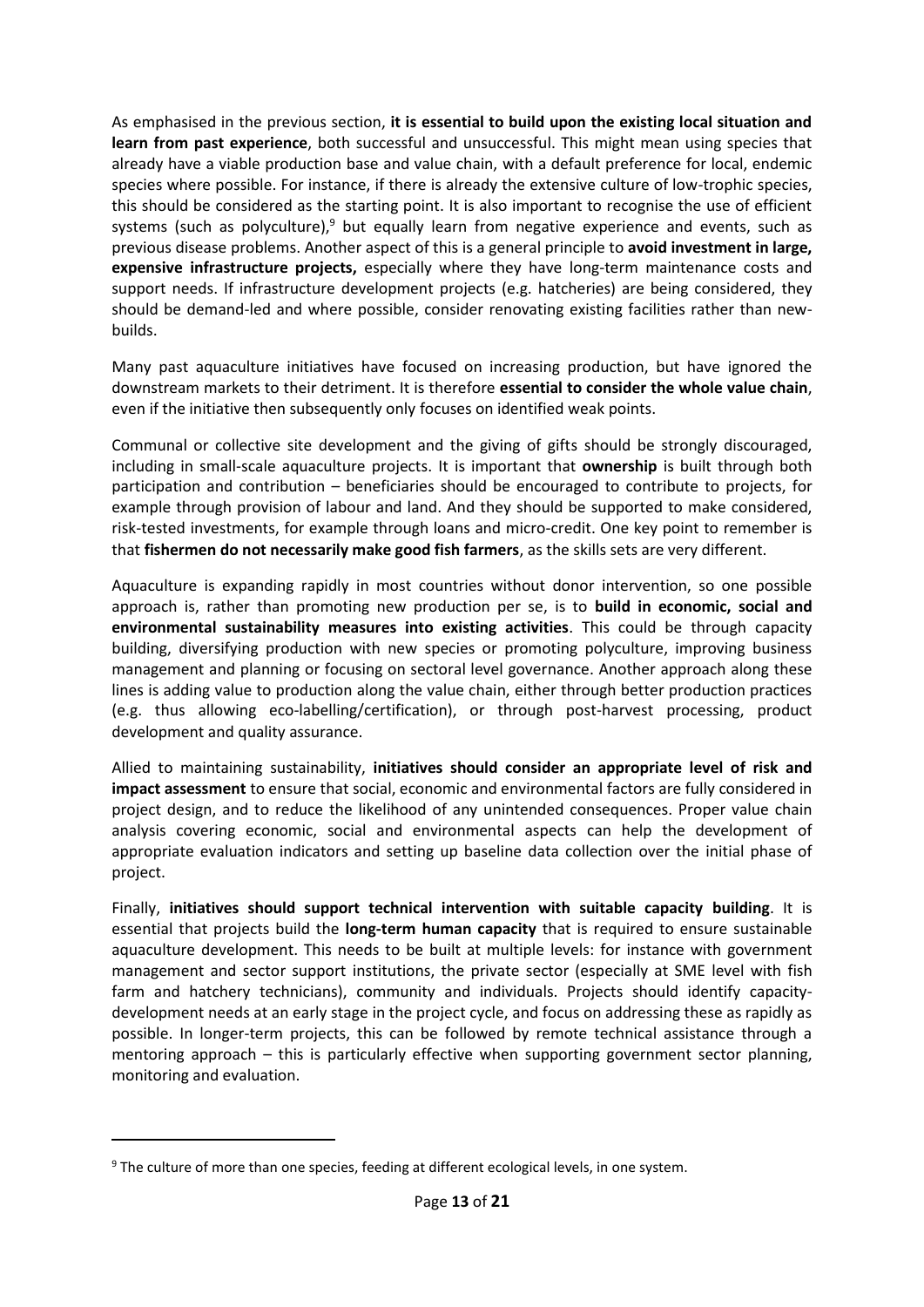As emphasised in the previous section, **it is essential to build upon the existing local situation and learn from past experience**, both successful and unsuccessful. This might mean using species that already have a viable production base and value chain, with a default preference for local, endemic species where possible. For instance, if there is already the extensive culture of low-trophic species, this should be considered as the starting point. It is also important to recognise the use of efficient systems (such as polyculture), $9$  but equally learn from negative experience and events, such as previous disease problems. Another aspect of this is a general principle to **avoid investment in large, expensive infrastructure projects,** especially where they have long-term maintenance costs and support needs. If infrastructure development projects (e.g. hatcheries) are being considered, they should be demand-led and where possible, consider renovating existing facilities rather than newbuilds.

Many past aquaculture initiatives have focused on increasing production, but have ignored the downstream markets to their detriment. It is therefore **essential to consider the whole value chain**, even if the initiative then subsequently only focuses on identified weak points.

Communal or collective site development and the giving of gifts should be strongly discouraged, including in small-scale aquaculture projects. It is important that **ownership** is built through both participation and contribution – beneficiaries should be encouraged to contribute to projects, for example through provision of labour and land. And they should be supported to make considered, risk-tested investments, for example through loans and micro-credit. One key point to remember is that **fishermen do not necessarily make good fish farmers**, as the skills sets are very different.

Aquaculture is expanding rapidly in most countries without donor intervention, so one possible approach is, rather than promoting new production per se, is to **build in economic, social and environmental sustainability measures into existing activities**. This could be through capacity building, diversifying production with new species or promoting polyculture, improving business management and planning or focusing on sectoral level governance. Another approach along these lines is adding value to production along the value chain, either through better production practices (e.g. thus allowing eco-labelling/certification), or through post-harvest processing, product development and quality assurance.

Allied to maintaining sustainability, **initiatives should consider an appropriate level of risk and impact assessment** to ensure that social, economic and environmental factors are fully considered in project design, and to reduce the likelihood of any unintended consequences. Proper value chain analysis covering economic, social and environmental aspects can help the development of appropriate evaluation indicators and setting up baseline data collection over the initial phase of project.

Finally, **initiatives should support technical intervention with suitable capacity building**. It is essential that projects build the **long-term human capacity** that is required to ensure sustainable aquaculture development. This needs to be built at multiple levels: for instance with government management and sector support institutions, the private sector (especially at SME level with fish farm and hatchery technicians), community and individuals. Projects should identify capacitydevelopment needs at an early stage in the project cycle, and focus on addressing these as rapidly as possible. In longer-term projects, this can be followed by remote technical assistance through a mentoring approach – this is particularly effective when supporting government sector planning, monitoring and evaluation.

 $9$  The culture of more than one species, feeding at different ecological levels, in one system.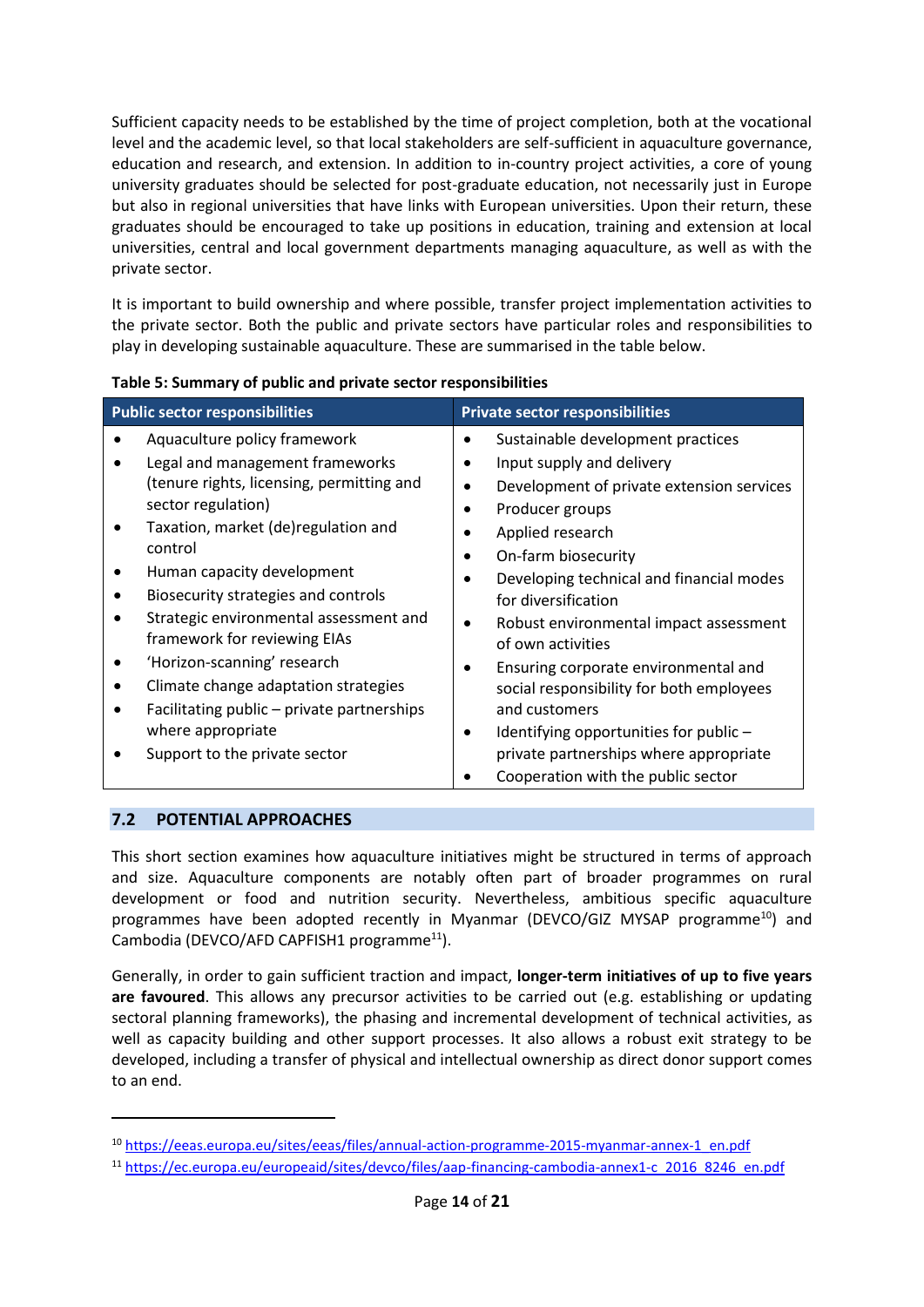Sufficient capacity needs to be established by the time of project completion, both at the vocational level and the academic level, so that local stakeholders are self-sufficient in aquaculture governance, education and research, and extension. In addition to in-country project activities, a core of young university graduates should be selected for post-graduate education, not necessarily just in Europe but also in regional universities that have links with European universities. Upon their return, these graduates should be encouraged to take up positions in education, training and extension at local universities, central and local government departments managing aquaculture, as well as with the private sector.

It is important to build ownership and where possible, transfer project implementation activities to the private sector. Both the public and private sectors have particular roles and responsibilities to play in developing sustainable aquaculture. These are summarised in the table below.

| <b>Public sector responsibilities</b>                                                                                                                                                                                                                                                                                                                                                                                                                                                                          | <b>Private sector responsibilities</b>                                                                                                                                                                                                                                                                                                                                                                                                                                                                            |  |
|----------------------------------------------------------------------------------------------------------------------------------------------------------------------------------------------------------------------------------------------------------------------------------------------------------------------------------------------------------------------------------------------------------------------------------------------------------------------------------------------------------------|-------------------------------------------------------------------------------------------------------------------------------------------------------------------------------------------------------------------------------------------------------------------------------------------------------------------------------------------------------------------------------------------------------------------------------------------------------------------------------------------------------------------|--|
| Aquaculture policy framework<br>Legal and management frameworks<br>(tenure rights, licensing, permitting and<br>sector regulation)<br>Taxation, market (de)regulation and<br>control<br>Human capacity development<br>Biosecurity strategies and controls<br>Strategic environmental assessment and<br>framework for reviewing EIAs<br>'Horizon-scanning' research<br>Climate change adaptation strategies<br>Facilitating public – private partnerships<br>where appropriate<br>Support to the private sector | Sustainable development practices<br>Input supply and delivery<br>Development of private extension services<br>Producer groups<br>Applied research<br>On-farm biosecurity<br>Developing technical and financial modes<br>for diversification<br>Robust environmental impact assessment<br>$\bullet$<br>of own activities<br>Ensuring corporate environmental and<br>social responsibility for both employees<br>and customers<br>Identifying opportunities for public -<br>private partnerships where appropriate |  |
|                                                                                                                                                                                                                                                                                                                                                                                                                                                                                                                | Cooperation with the public sector                                                                                                                                                                                                                                                                                                                                                                                                                                                                                |  |

#### **Table 5: Summary of public and private sector responsibilities**

### **7.2 POTENTIAL APPROACHES**

This short section examines how aquaculture initiatives might be structured in terms of approach and size. Aquaculture components are notably often part of broader programmes on rural development or food and nutrition security. Nevertheless, ambitious specific aquaculture programmes have been adopted recently in Myanmar (DEVCO/GIZ MYSAP programme<sup>10</sup>) and Cambodia (DEVCO/AFD CAPFISH1 programme $^{11}$ ).

Generally, in order to gain sufficient traction and impact, **longer-term initiatives of up to five years are favoured**. This allows any precursor activities to be carried out (e.g. establishing or updating sectoral planning frameworks), the phasing and incremental development of technical activities, as well as capacity building and other support processes. It also allows a robust exit strategy to be developed, including a transfer of physical and intellectual ownership as direct donor support comes to an end.

<sup>10</sup> https://eeas.europa.eu/sites/eeas/files/annual-action-programme-2015-myanmar-annex-1\_en.pdf

<sup>11</sup> https://ec.europa.eu/europeaid/sites/devco/files/aap-financing-cambodia-annex1-c\_2016\_8246\_en.pdf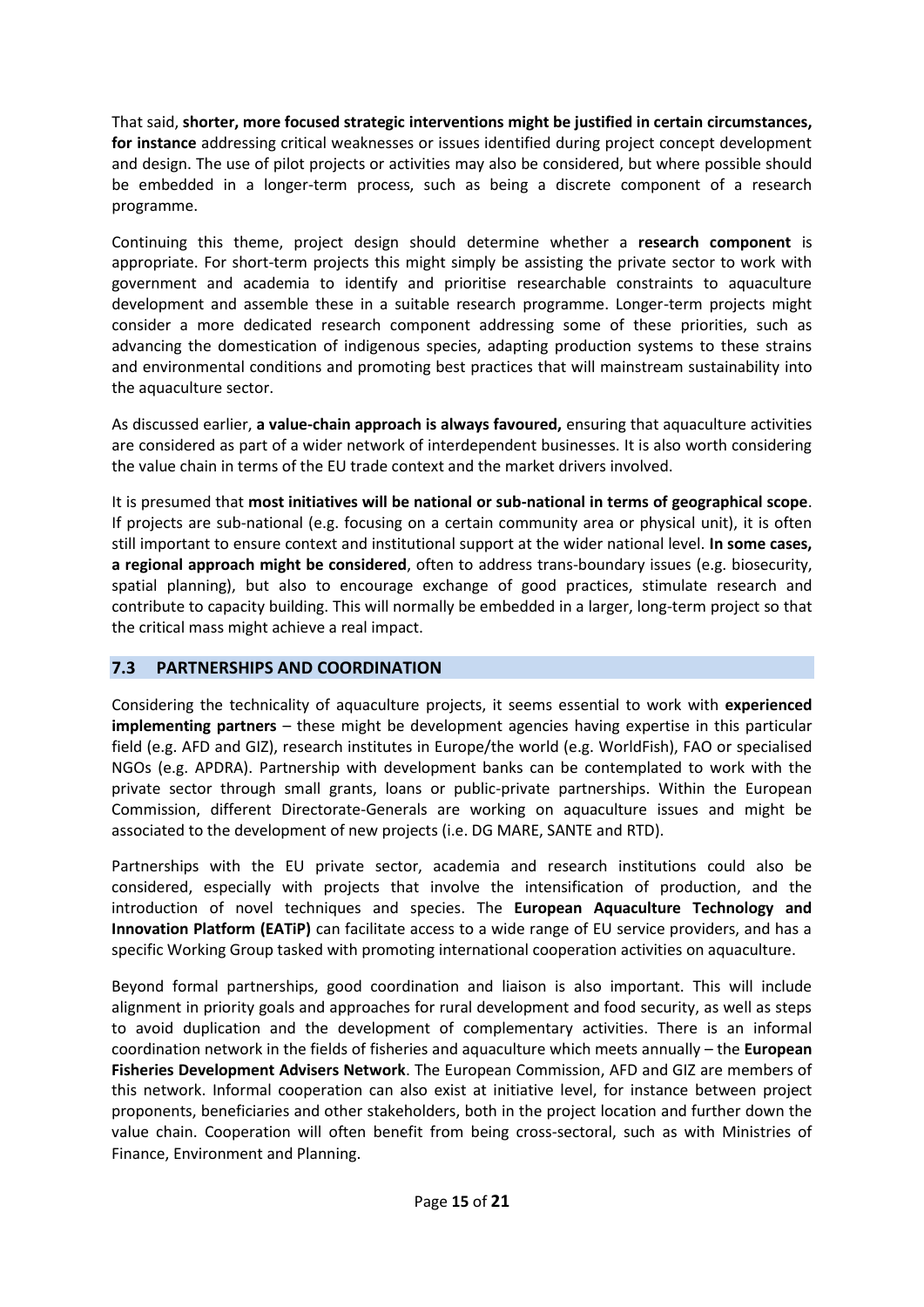That said, **shorter, more focused strategic interventions might be justified in certain circumstances, for instance** addressing critical weaknesses or issues identified during project concept development and design. The use of pilot projects or activities may also be considered, but where possible should be embedded in a longer-term process, such as being a discrete component of a research programme.

Continuing this theme, project design should determine whether a **research component** is appropriate. For short-term projects this might simply be assisting the private sector to work with government and academia to identify and prioritise researchable constraints to aquaculture development and assemble these in a suitable research programme. Longer-term projects might consider a more dedicated research component addressing some of these priorities, such as advancing the domestication of indigenous species, adapting production systems to these strains and environmental conditions and promoting best practices that will mainstream sustainability into the aquaculture sector.

As discussed earlier, **a value-chain approach is always favoured,** ensuring that aquaculture activities are considered as part of a wider network of interdependent businesses. It is also worth considering the value chain in terms of the EU trade context and the market drivers involved.

It is presumed that **most initiatives will be national or sub-national in terms of geographical scope**. If projects are sub-national (e.g. focusing on a certain community area or physical unit), it is often still important to ensure context and institutional support at the wider national level. **In some cases, a regional approach might be considered**, often to address trans-boundary issues (e.g. biosecurity, spatial planning), but also to encourage exchange of good practices, stimulate research and contribute to capacity building. This will normally be embedded in a larger, long-term project so that the critical mass might achieve a real impact.

#### **7.3 PARTNERSHIPS AND COORDINATION**

Considering the technicality of aquaculture projects, it seems essential to work with **experienced implementing partners** – these might be development agencies having expertise in this particular field (e.g. AFD and GIZ), research institutes in Europe/the world (e.g. WorldFish), FAO or specialised NGOs (e.g. APDRA). Partnership with development banks can be contemplated to work with the private sector through small grants, loans or public-private partnerships. Within the European Commission, different Directorate-Generals are working on aquaculture issues and might be associated to the development of new projects (i.e. DG MARE, SANTE and RTD).

Partnerships with the EU private sector, academia and research institutions could also be considered, especially with projects that involve the intensification of production, and the introduction of novel techniques and species. The **European Aquaculture Technology and Innovation Platform (EATiP)** can facilitate access to a wide range of EU service providers, and has a specific Working Group tasked with promoting international cooperation activities on aquaculture.

Beyond formal partnerships, good coordination and liaison is also important. This will include alignment in priority goals and approaches for rural development and food security, as well as steps to avoid duplication and the development of complementary activities. There is an informal coordination network in the fields of fisheries and aquaculture which meets annually – the **European Fisheries Development Advisers Network**. The European Commission, AFD and GIZ are members of this network. Informal cooperation can also exist at initiative level, for instance between project proponents, beneficiaries and other stakeholders, both in the project location and further down the value chain. Cooperation will often benefit from being cross-sectoral, such as with Ministries of Finance, Environment and Planning.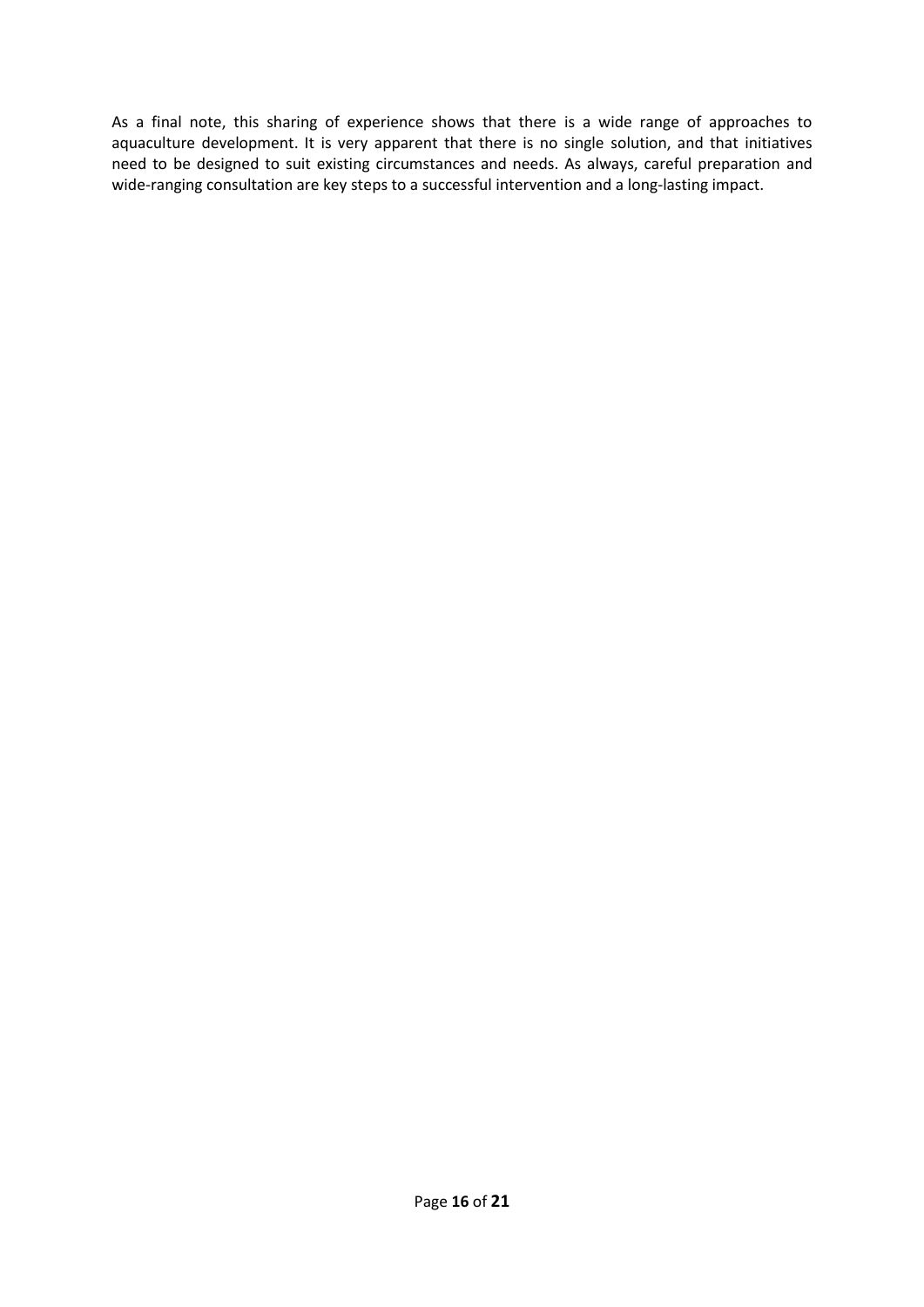As a final note, this sharing of experience shows that there is a wide range of approaches to aquaculture development. It is very apparent that there is no single solution, and that initiatives need to be designed to suit existing circumstances and needs. As always, careful preparation and wide-ranging consultation are key steps to a successful intervention and a long-lasting impact.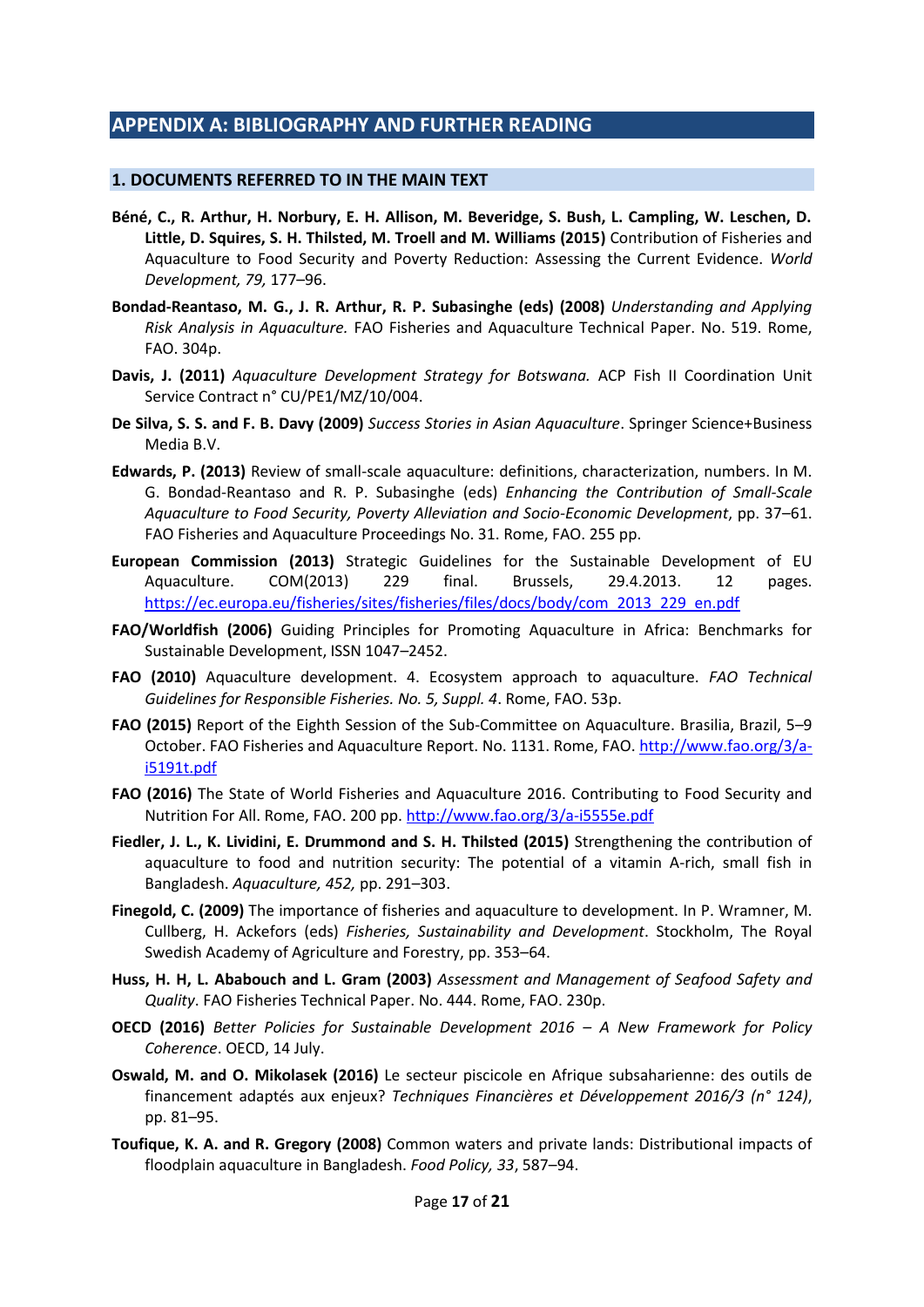## **APPENDIX A: BIBLIOGRAPHY AND FURTHER READING**

#### **1. DOCUMENTS REFERRED TO IN THE MAIN TEXT**

- **Béné, C., R. Arthur, H. Norbury, E. H. Allison, M. Beveridge, S. Bush, L. Campling, W. Leschen, D. Little, D. Squires, S. H. Thilsted, M. Troell and M. Williams (2015)** Contribution of Fisheries and Aquaculture to Food Security and Poverty Reduction: Assessing the Current Evidence. *World Development, 79,* 177–96.
- **Bondad-Reantaso, M. G., J. R. Arthur, R. P. Subasinghe (eds) (2008)** *Understanding and Applying Risk Analysis in Aquaculture.* FAO Fisheries and Aquaculture Technical Paper. No. 519. Rome, FAO. 304p.
- **Davis, J. (2011)** *Aquaculture Development Strategy for Botswana.* ACP Fish II Coordination Unit Service Contract n° CU/PE1/MZ/10/004.
- **De Silva, S. S. and F. B. Davy (2009)** *Success Stories in Asian Aquaculture*. Springer Science+Business Media B.V.
- **Edwards, P. (2013)** Review of small-scale aquaculture: definitions, characterization, numbers. In M. G. Bondad-Reantaso and R. P. Subasinghe (eds) *Enhancing the Contribution of Small-Scale Aquaculture to Food Security, Poverty Alleviation and Socio-Economic Development*, pp. 37–61. FAO Fisheries and Aquaculture Proceedings No. 31. Rome, FAO. 255 pp.
- **European Commission (2013)** Strategic Guidelines for the Sustainable Development of EU Aquaculture. COM(2013) 229 final. Brussels, 29.4.2013. 12 pages. https://ec.europa.eu/fisheries/sites/fisheries/files/docs/body/com\_2013\_229\_en.pdf
- **FAO/Worldfish (2006)** Guiding Principles for Promoting Aquaculture in Africa: Benchmarks for Sustainable Development, ISSN 1047–2452.
- **FAO (2010)** Aquaculture development. 4. Ecosystem approach to aquaculture. *FAO Technical Guidelines for Responsible Fisheries. No. 5, Suppl. 4*. Rome, FAO. 53p.
- **FAO (2015)** Report of the Eighth Session of the Sub-Committee on Aquaculture. Brasilia, Brazil, 5–9 October. FAO Fisheries and Aquaculture Report. No. 1131. Rome, FAO. http://www.fao.org/3/ai5191t.pdf
- **FAO (2016)** The State of World Fisheries and Aquaculture 2016. Contributing to Food Security and Nutrition For All. Rome, FAO. 200 pp. http://www.fao.org/3/a-i5555e.pdf
- **Fiedler, J. L., K. Lividini, E. Drummond and S. H. Thilsted (2015)** Strengthening the contribution of aquaculture to food and nutrition security: The potential of a vitamin A-rich, small fish in Bangladesh. *Aquaculture, 452,* pp. 291–303.
- **Finegold, C. (2009)** The importance of fisheries and aquaculture to development. In P. Wramner, M. Cullberg, H. Ackefors (eds) *Fisheries, Sustainability and Development*. Stockholm, The Royal Swedish Academy of Agriculture and Forestry, pp. 353–64.
- **Huss, H. H, L. Ababouch and L. Gram (2003)** *Assessment and Management of Seafood Safety and Quality*. FAO Fisheries Technical Paper. No. 444. Rome, FAO. 230p.
- **OECD (2016)** *Better Policies for Sustainable Development 2016 – A New Framework for Policy Coherence*. OECD, 14 July.
- **Oswald, M. and O. Mikolasek (2016)** Le secteur piscicole en Afrique subsaharienne: des outils de financement adaptés aux enjeux? *Techniques Financières et Développement 2016/3 (n° 124)*, pp. 81–95.
- **Toufique, K. A. and R. Gregory (2008)** Common waters and private lands: Distributional impacts of floodplain aquaculture in Bangladesh. *Food Policy, 33*, 587–94.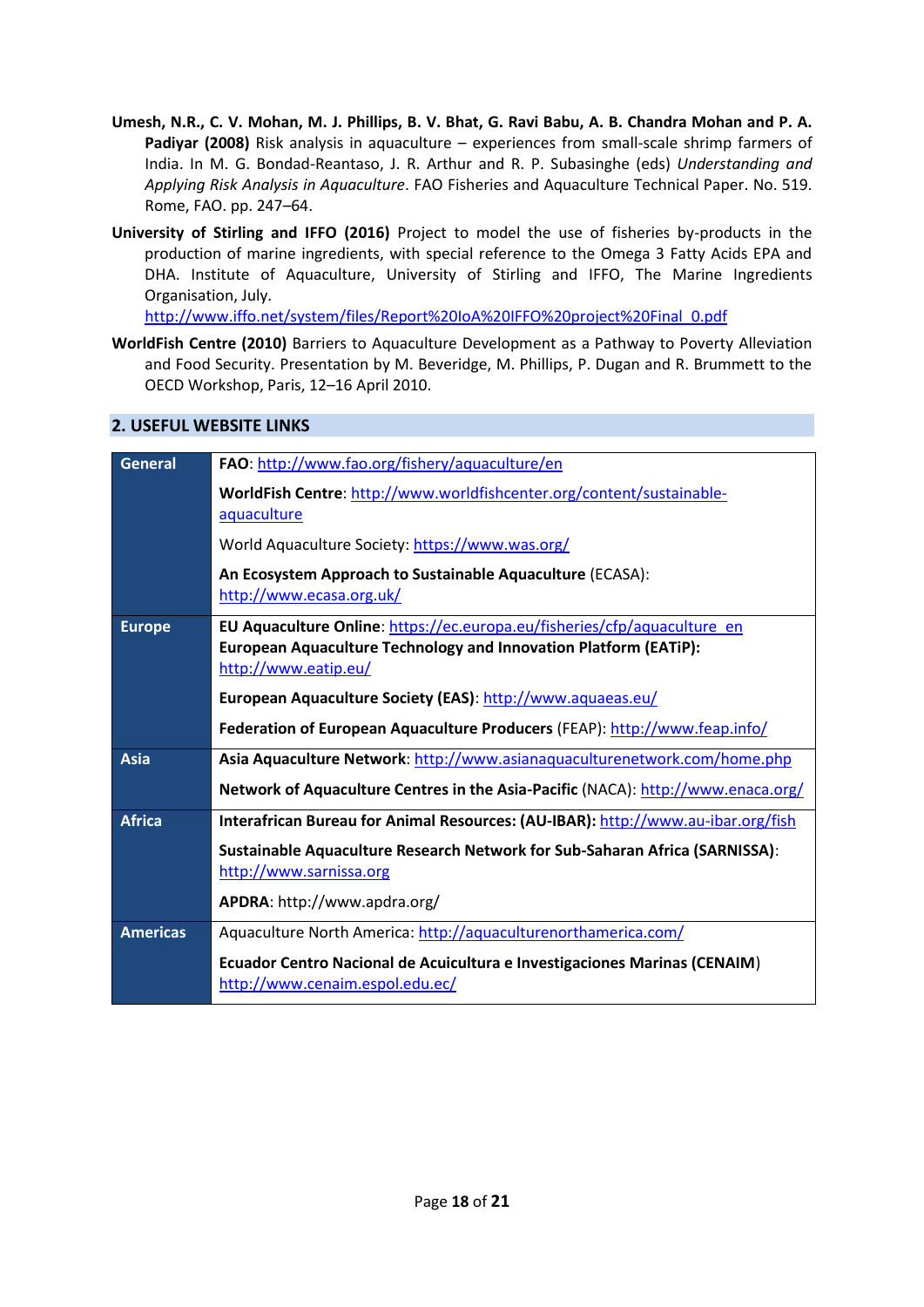- **Umesh, N.R., C. V. Mohan, M. J. Phillips, B. V. Bhat, G. Ravi Babu, A. B. Chandra Mohan and P. A. Padiyar (2008)** Risk analysis in aquaculture – experiences from small-scale shrimp farmers of India. In M. G. Bondad-Reantaso, J. R. Arthur and R. P. Subasinghe (eds) *Understanding and Applying Risk Analysis in Aquaculture*. FAO Fisheries and Aquaculture Technical Paper. No. 519. Rome, FAO. pp. 247–64.
- **University of Stirling and IFFO (2016)** Project to model the use of fisheries by-products in the production of marine ingredients, with special reference to the Omega 3 Fatty Acids EPA and DHA. Institute of Aquaculture, University of Stirling and IFFO, The Marine Ingredients Organisation, July.

http://www.iffo.net/system/files/Report%20IoA%20IFFO%20project%20Final\_0.pdf

**WorldFish Centre (2010)** Barriers to Aquaculture Development as a Pathway to Poverty Alleviation and Food Security. Presentation by M. Beveridge, M. Phillips, P. Dugan and R. Brummett to the OECD Workshop, Paris, 12–16 April 2010.

## **2. USEFUL WEBSITE LINKS**

| <b>General</b>  | FAO: http://www.fao.org/fishery/aquaculture/en                                                                                                                              |
|-----------------|-----------------------------------------------------------------------------------------------------------------------------------------------------------------------------|
|                 | WorldFish Centre: http://www.worldfishcenter.org/content/sustainable-<br>aquaculture                                                                                        |
|                 | World Aquaculture Society: https://www.was.org/                                                                                                                             |
|                 | An Ecosystem Approach to Sustainable Aquaculture (ECASA):<br>http://www.ecasa.org.uk/                                                                                       |
| <b>Europe</b>   | EU Aquaculture Online: https://ec.europa.eu/fisheries/cfp/aquaculture en<br><b>European Aquaculture Technology and Innovation Platform (EATiP):</b><br>http://www.eatip.eu/ |
|                 | European Aquaculture Society (EAS): http://www.aquaeas.eu/                                                                                                                  |
|                 | Federation of European Aquaculture Producers (FEAP): http://www.feap.info/                                                                                                  |
| <b>Asia</b>     | Asia Aquaculture Network: http://www.asianaquaculturenetwork.com/home.php                                                                                                   |
|                 | Network of Aquaculture Centres in the Asia-Pacific (NACA): http://www.enaca.org/                                                                                            |
| <b>Africa</b>   | Interafrican Bureau for Animal Resources: (AU-IBAR): http://www.au-ibar.org/fish                                                                                            |
|                 | Sustainable Aquaculture Research Network for Sub-Saharan Africa (SARNISSA):<br>http://www.sarnissa.org                                                                      |
|                 | APDRA: http://www.apdra.org/                                                                                                                                                |
| <b>Americas</b> | Aquaculture North America: http://aquaculturenorthamerica.com/                                                                                                              |
|                 | Ecuador Centro Nacional de Acuicultura e Investigaciones Marinas (CENAIM)<br>http://www.cenaim.espol.edu.ec/                                                                |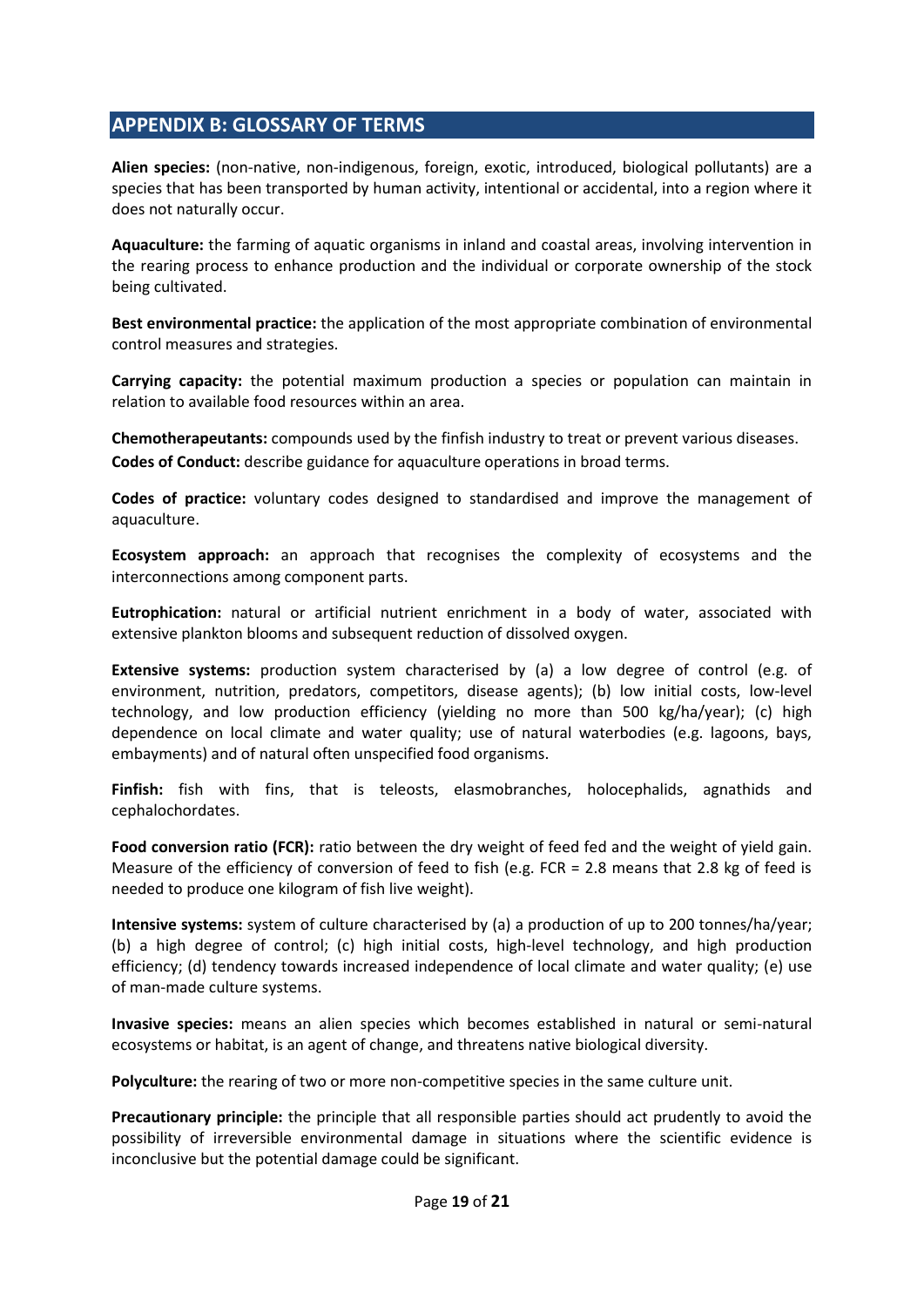## **APPENDIX B: GLOSSARY OF TERMS**

**Alien species:** (non-native, non-indigenous, foreign, exotic, introduced, biological pollutants) are a species that has been transported by human activity, intentional or accidental, into a region where it does not naturally occur.

**Aquaculture:** the farming of aquatic organisms in inland and coastal areas, involving intervention in the rearing process to enhance production and the individual or corporate ownership of the stock being cultivated.

**Best environmental practice:** the application of the most appropriate combination of environmental control measures and strategies.

**Carrying capacity:** the potential maximum production a species or population can maintain in relation to available food resources within an area.

**Chemotherapeutants:** compounds used by the finfish industry to treat or prevent various diseases. **Codes of Conduct:** describe guidance for aquaculture operations in broad terms.

**Codes of practice:** voluntary codes designed to standardised and improve the management of aquaculture.

**Ecosystem approach:** an approach that recognises the complexity of ecosystems and the interconnections among component parts.

**Eutrophication:** natural or artificial nutrient enrichment in a body of water, associated with extensive plankton blooms and subsequent reduction of dissolved oxygen.

**Extensive systems:** production system characterised by (a) a low degree of control (e.g. of environment, nutrition, predators, competitors, disease agents); (b) low initial costs, low-level technology, and low production efficiency (yielding no more than 500 kg/ha/year); (c) high dependence on local climate and water quality; use of natural waterbodies (e.g. lagoons, bays, embayments) and of natural often unspecified food organisms.

**Finfish:** fish with fins, that is teleosts, elasmobranches, holocephalids, agnathids and cephalochordates.

**Food conversion ratio (FCR):** ratio between the dry weight of feed fed and the weight of yield gain. Measure of the efficiency of conversion of feed to fish (e.g. FCR = 2.8 means that 2.8 kg of feed is needed to produce one kilogram of fish live weight).

**Intensive systems:** system of culture characterised by (a) a production of up to 200 tonnes/ha/year; (b) a high degree of control; (c) high initial costs, high-level technology, and high production efficiency; (d) tendency towards increased independence of local climate and water quality; (e) use of man-made culture systems.

**Invasive species:** means an alien species which becomes established in natural or semi-natural ecosystems or habitat, is an agent of change, and threatens native biological diversity.

**Polyculture:** the rearing of two or more non-competitive species in the same culture unit.

**Precautionary principle:** the principle that all responsible parties should act prudently to avoid the possibility of irreversible environmental damage in situations where the scientific evidence is inconclusive but the potential damage could be significant.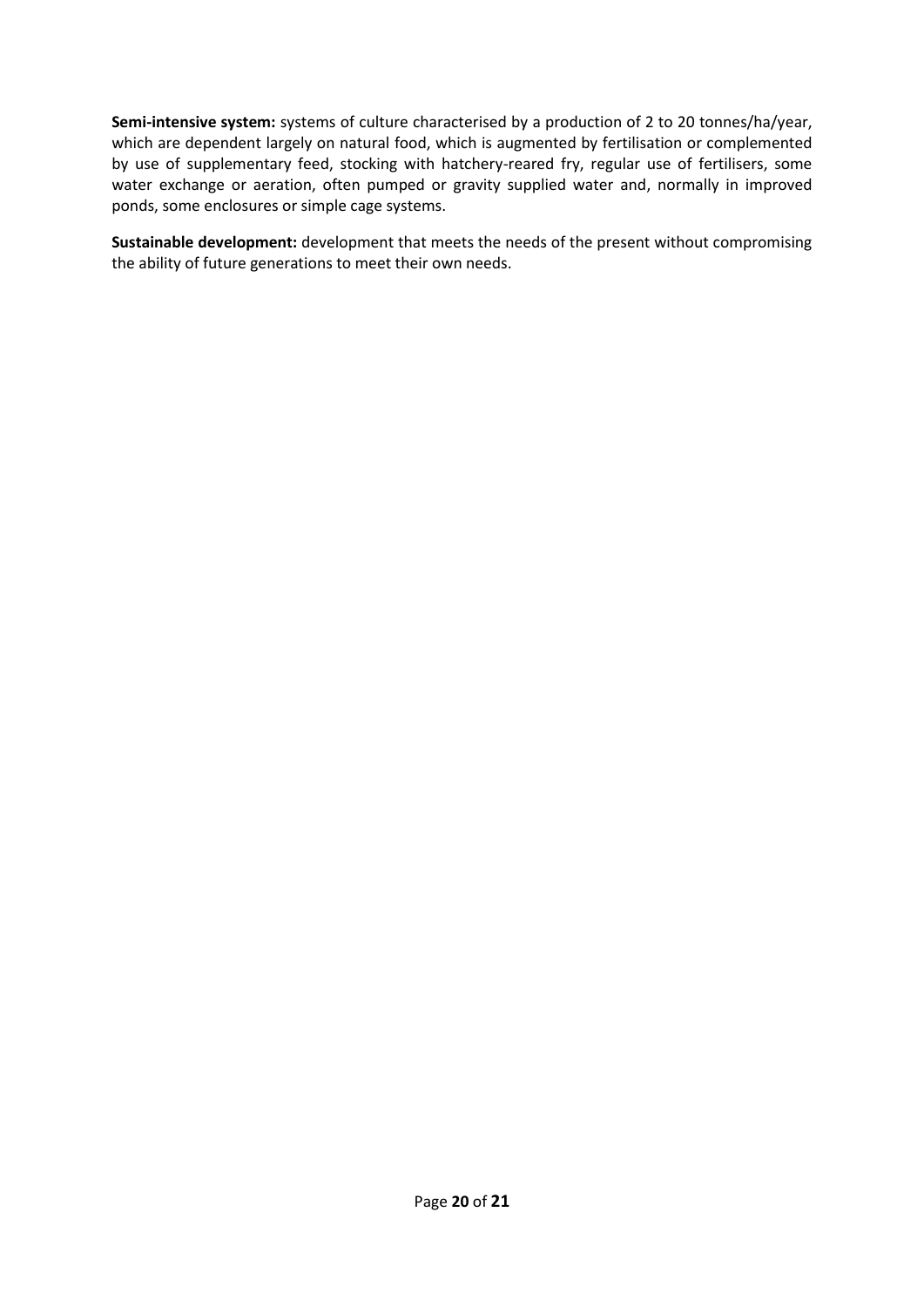**Semi-intensive system:** systems of culture characterised by a production of 2 to 20 tonnes/ha/year, which are dependent largely on natural food, which is augmented by fertilisation or complemented by use of supplementary feed, stocking with hatchery-reared fry, regular use of fertilisers, some water exchange or aeration, often pumped or gravity supplied water and, normally in improved ponds, some enclosures or simple cage systems.

**Sustainable development:** development that meets the needs of the present without compromising the ability of future generations to meet their own needs.